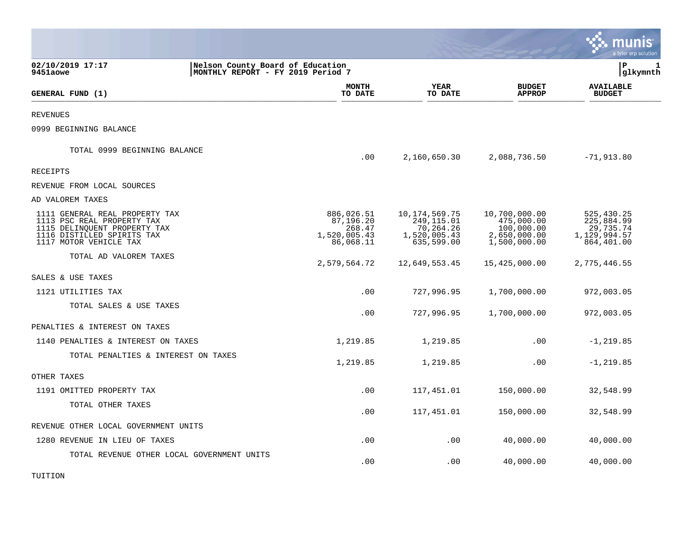|                                                                                                                                                      |                                                                       |                                                                |                                                                            |                                                                           | munis<br>a tyler erp solution                                       |  |
|------------------------------------------------------------------------------------------------------------------------------------------------------|-----------------------------------------------------------------------|----------------------------------------------------------------|----------------------------------------------------------------------------|---------------------------------------------------------------------------|---------------------------------------------------------------------|--|
| 02/10/2019 17:17<br>9451aowe                                                                                                                         | Nelson County Board of Education<br>MONTHLY REPORT - FY 2019 Period 7 |                                                                |                                                                            | lР                                                                        | glkymnth                                                            |  |
| GENERAL FUND (1)                                                                                                                                     |                                                                       | <b>MONTH</b><br>TO DATE                                        | <b>YEAR</b><br>TO DATE                                                     | <b>BUDGET</b><br><b>APPROP</b>                                            | <b>AVAILABLE</b><br><b>BUDGET</b>                                   |  |
| <b>REVENUES</b>                                                                                                                                      |                                                                       |                                                                |                                                                            |                                                                           |                                                                     |  |
| 0999 BEGINNING BALANCE                                                                                                                               |                                                                       |                                                                |                                                                            |                                                                           |                                                                     |  |
| TOTAL 0999 BEGINNING BALANCE                                                                                                                         |                                                                       | .00                                                            | 2,160,650.30                                                               | 2,088,736.50                                                              | $-71,913.80$                                                        |  |
| RECEIPTS                                                                                                                                             |                                                                       |                                                                |                                                                            |                                                                           |                                                                     |  |
| REVENUE FROM LOCAL SOURCES                                                                                                                           |                                                                       |                                                                |                                                                            |                                                                           |                                                                     |  |
| AD VALOREM TAXES                                                                                                                                     |                                                                       |                                                                |                                                                            |                                                                           |                                                                     |  |
| 1111 GENERAL REAL PROPERTY TAX<br>1113 PSC REAL PROPERTY TAX<br>1115 DELINQUENT PROPERTY TAX<br>1116 DISTILLED SPIRITS TAX<br>1117 MOTOR VEHICLE TAX |                                                                       | 886,026.51<br>87,196.20<br>268.47<br>1,520,005.43<br>86,068.11 | 10, 174, 569. 75<br>249, 115.01<br>70,264.26<br>1,520,005.43<br>635,599.00 | 10,700,000.00<br>475,000.00<br>100,000.00<br>2,650,000.00<br>1,500,000.00 | 525,430.25<br>225,884.99<br>29,735.74<br>1,129,994.57<br>864,401.00 |  |
| TOTAL AD VALOREM TAXES                                                                                                                               |                                                                       | 2,579,564.72                                                   | 12,649,553.45                                                              | 15,425,000.00                                                             | 2,775,446.55                                                        |  |
| SALES & USE TAXES                                                                                                                                    |                                                                       |                                                                |                                                                            |                                                                           |                                                                     |  |
| 1121 UTILITIES TAX                                                                                                                                   |                                                                       | .00                                                            | 727,996.95                                                                 | 1,700,000.00                                                              | 972,003.05                                                          |  |
| TOTAL SALES & USE TAXES                                                                                                                              |                                                                       | .00                                                            | 727,996.95                                                                 | 1,700,000.00                                                              | 972,003.05                                                          |  |
| PENALTIES & INTEREST ON TAXES                                                                                                                        |                                                                       |                                                                |                                                                            |                                                                           |                                                                     |  |
| 1140 PENALTIES & INTEREST ON TAXES                                                                                                                   |                                                                       | 1,219.85                                                       | 1,219.85                                                                   | .00                                                                       | $-1, 219.85$                                                        |  |
| TOTAL PENALTIES & INTEREST ON TAXES                                                                                                                  |                                                                       | 1,219.85                                                       | 1,219.85                                                                   | .00                                                                       | $-1, 219.85$                                                        |  |
| OTHER TAXES                                                                                                                                          |                                                                       |                                                                |                                                                            |                                                                           |                                                                     |  |
| 1191 OMITTED PROPERTY TAX                                                                                                                            |                                                                       | .00                                                            | 117,451.01                                                                 | 150,000.00                                                                | 32,548.99                                                           |  |
| TOTAL OTHER TAXES                                                                                                                                    |                                                                       | .00                                                            | 117,451.01                                                                 | 150,000.00                                                                | 32,548.99                                                           |  |
| REVENUE OTHER LOCAL GOVERNMENT UNITS                                                                                                                 |                                                                       |                                                                |                                                                            |                                                                           |                                                                     |  |
| 1280 REVENUE IN LIEU OF TAXES                                                                                                                        |                                                                       | .00                                                            | .00                                                                        | 40,000.00                                                                 | 40,000.00                                                           |  |
| TOTAL REVENUE OTHER LOCAL GOVERNMENT UNITS                                                                                                           |                                                                       | .00                                                            | .00                                                                        | 40,000.00                                                                 | 40,000.00                                                           |  |

TUITION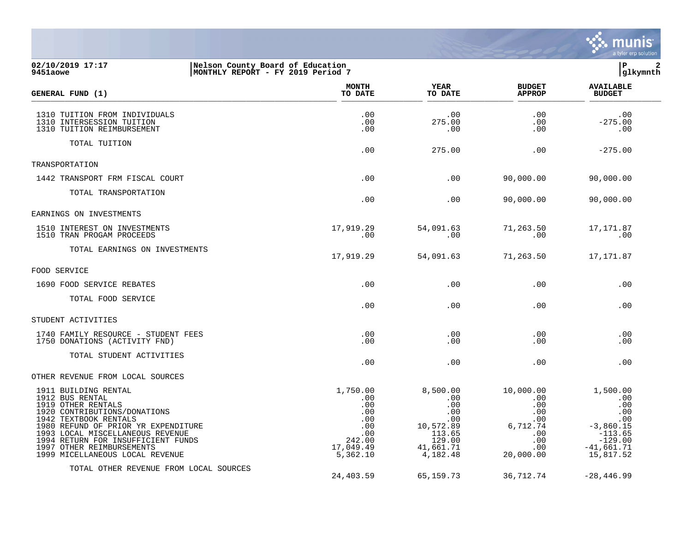

#### **02/10/2019 17:17 |Nelson County Board of Education |P 2 9451aowe |MONTHLY REPORT - FY 2019 Period 7 |glkymnth**

| GENERAL FUND (1)                                                                                                                                                                                                                                                                                        | <b>MONTH</b><br>TO DATE                                                               | <b>YEAR</b><br>TO DATE                                                                         | <b>BUDGET</b><br><b>APPROP</b>                                                      | <b>AVAILABLE</b><br><b>BUDGET</b>                                                                          |
|---------------------------------------------------------------------------------------------------------------------------------------------------------------------------------------------------------------------------------------------------------------------------------------------------------|---------------------------------------------------------------------------------------|------------------------------------------------------------------------------------------------|-------------------------------------------------------------------------------------|------------------------------------------------------------------------------------------------------------|
| 1310 TUITION FROM INDIVIDUALS<br>1310 INTERSESSION TUITION<br>1310 TUITION REIMBURSEMENT                                                                                                                                                                                                                | .00<br>.00<br>.00                                                                     | .00<br>275.00<br>.00                                                                           | .00<br>.00<br>.00                                                                   | .00<br>$-275.00$<br>.00                                                                                    |
| TOTAL TUITION                                                                                                                                                                                                                                                                                           | .00                                                                                   | 275.00                                                                                         | .00                                                                                 | $-275.00$                                                                                                  |
| TRANSPORTATION                                                                                                                                                                                                                                                                                          |                                                                                       |                                                                                                |                                                                                     |                                                                                                            |
| 1442 TRANSPORT FRM FISCAL COURT                                                                                                                                                                                                                                                                         | .00                                                                                   | .00                                                                                            | 90,000.00                                                                           | 90,000.00                                                                                                  |
| TOTAL TRANSPORTATION                                                                                                                                                                                                                                                                                    | .00                                                                                   | .00                                                                                            | 90,000.00                                                                           | 90,000.00                                                                                                  |
| EARNINGS ON INVESTMENTS                                                                                                                                                                                                                                                                                 |                                                                                       |                                                                                                |                                                                                     |                                                                                                            |
| 1510 INTEREST ON INVESTMENTS<br>1510 TRAN PROGAM PROCEEDS                                                                                                                                                                                                                                               | 17,919.29<br>.00                                                                      | 54,091.63<br>.00                                                                               | 71,263.50<br>.00                                                                    | 17,171.87<br>.00                                                                                           |
| TOTAL EARNINGS ON INVESTMENTS                                                                                                                                                                                                                                                                           | 17,919.29                                                                             | 54,091.63                                                                                      | 71,263.50                                                                           | 17,171.87                                                                                                  |
| FOOD SERVICE                                                                                                                                                                                                                                                                                            |                                                                                       |                                                                                                |                                                                                     |                                                                                                            |
| 1690 FOOD SERVICE REBATES                                                                                                                                                                                                                                                                               | .00                                                                                   | .00                                                                                            | .00                                                                                 | .00                                                                                                        |
| TOTAL FOOD SERVICE                                                                                                                                                                                                                                                                                      | .00                                                                                   | .00                                                                                            | .00                                                                                 | .00                                                                                                        |
| STUDENT ACTIVITIES                                                                                                                                                                                                                                                                                      |                                                                                       |                                                                                                |                                                                                     |                                                                                                            |
| 1740 FAMILY RESOURCE - STUDENT FEES<br>1750 DONATIONS (ACTIVITY FND)                                                                                                                                                                                                                                    | .00<br>.00                                                                            | .00<br>.00                                                                                     | .00<br>.00                                                                          | .00<br>.00                                                                                                 |
| TOTAL STUDENT ACTIVITIES                                                                                                                                                                                                                                                                                | .00                                                                                   | .00                                                                                            | .00                                                                                 | .00                                                                                                        |
| OTHER REVENUE FROM LOCAL SOURCES                                                                                                                                                                                                                                                                        |                                                                                       |                                                                                                |                                                                                     |                                                                                                            |
| 1911 BUILDING RENTAL<br>1912 BUS RENTAL<br>1919 OTHER RENTALS<br>1920 CONTRIBUTIONS/DONATIONS<br>1942 TEXTBOOK RENTALS<br>1980 REFUND OF PRIOR YR EXPENDITURE<br>1993 LOCAL MISCELLANEOUS REVENUE<br>1994 RETURN FOR INSUFFICIENT FUNDS<br>1997 OTHER REIMBURSEMENTS<br>1999 MICELLANEOUS LOCAL REVENUE | 1,750.00<br>.00<br>.00<br>.00<br>.00<br>.00<br>.00<br>242.00<br>17,049.49<br>5,362.10 | 8,500.00<br>.00<br>.00<br>.00<br>.00<br>10,572.89<br>113.65<br>129.00<br>41,661.71<br>4,182.48 | 10,000.00<br>.00<br>.00<br>.00<br>.00<br>6,712.74<br>.00<br>.00<br>.00<br>20,000.00 | 1,500.00<br>.00<br>.00<br>.00<br>.00<br>$-3,860.15$<br>$-113.65$<br>$-129.00$<br>$-41,661.71$<br>15,817.52 |
| TOTAL OTHER REVENUE FROM LOCAL SOURCES                                                                                                                                                                                                                                                                  | 24,403.59                                                                             | 65, 159. 73                                                                                    | 36,712.74                                                                           | $-28, 446.99$                                                                                              |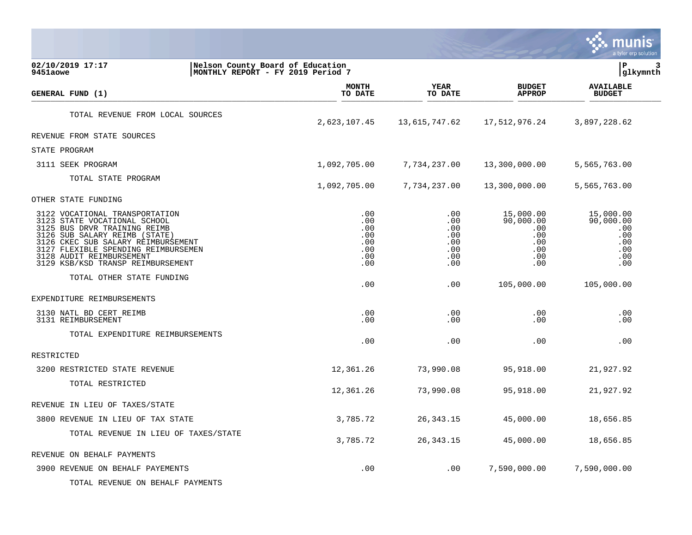|                                                                                                                                                                                                                                                                               |                                                                       |                                                      |                                                                  | unis<br>a tyler erp solution                                     |
|-------------------------------------------------------------------------------------------------------------------------------------------------------------------------------------------------------------------------------------------------------------------------------|-----------------------------------------------------------------------|------------------------------------------------------|------------------------------------------------------------------|------------------------------------------------------------------|
| 02/10/2019 17:17<br>9451aowe                                                                                                                                                                                                                                                  | Nelson County Board of Education<br>MONTHLY REPORT - FY 2019 Period 7 |                                                      |                                                                  | lР<br>3<br> glkymnth                                             |
| GENERAL FUND (1)                                                                                                                                                                                                                                                              | MONTH<br>TO DATE                                                      | <b>YEAR</b><br>TO DATE                               | <b>BUDGET</b><br><b>APPROP</b>                                   | <b>AVAILABLE</b><br><b>BUDGET</b>                                |
| TOTAL REVENUE FROM LOCAL SOURCES                                                                                                                                                                                                                                              | 2,623,107.45                                                          | 13,615,747.62                                        | 17,512,976.24                                                    | 3,897,228.62                                                     |
| REVENUE FROM STATE SOURCES                                                                                                                                                                                                                                                    |                                                                       |                                                      |                                                                  |                                                                  |
| STATE PROGRAM                                                                                                                                                                                                                                                                 |                                                                       |                                                      |                                                                  |                                                                  |
| 3111 SEEK PROGRAM                                                                                                                                                                                                                                                             | 1,092,705.00                                                          | 7,734,237.00                                         | 13,300,000.00                                                    | 5,565,763.00                                                     |
| TOTAL STATE PROGRAM                                                                                                                                                                                                                                                           | 1,092,705.00                                                          | 7,734,237.00                                         | 13,300,000.00                                                    | 5,565,763.00                                                     |
| OTHER STATE FUNDING                                                                                                                                                                                                                                                           |                                                                       |                                                      |                                                                  |                                                                  |
| 3122 VOCATIONAL TRANSPORTATION<br>3123 STATE VOCATIONAL SCHOOL<br>3125 BUS DRVR TRAINING REIMB<br>3126 SUB SALARY REIMB (STATE)<br>3126 CKEC SUB SALARY REIMBURSEMENT<br>3127 FLEXIBLE SPENDING REIMBURSEMEN<br>3128 AUDIT REIMBURSEMENT<br>3129 KSB/KSD TRANSP REIMBURSEMENT | .00<br>.00<br>.00<br>.00<br>.00<br>.00<br>.00<br>.00                  | .00<br>.00<br>.00<br>.00<br>.00<br>.00<br>.00<br>.00 | 15,000.00<br>90,000.00<br>.00<br>.00<br>.00<br>.00<br>.00<br>.00 | 15,000.00<br>90,000.00<br>.00<br>.00<br>.00<br>.00<br>.00<br>.00 |
| TOTAL OTHER STATE FUNDING                                                                                                                                                                                                                                                     | .00                                                                   | .00                                                  | 105,000.00                                                       | 105,000.00                                                       |
| EXPENDITURE REIMBURSEMENTS                                                                                                                                                                                                                                                    |                                                                       |                                                      |                                                                  |                                                                  |
| 3130 NATL BD CERT REIMB<br>3131 REIMBURSEMENT                                                                                                                                                                                                                                 | .00<br>.00                                                            | .00<br>.00                                           | .00<br>.00                                                       | .00<br>.00                                                       |
| TOTAL EXPENDITURE REIMBURSEMENTS                                                                                                                                                                                                                                              | .00                                                                   | .00                                                  | .00                                                              | .00                                                              |
| RESTRICTED                                                                                                                                                                                                                                                                    |                                                                       |                                                      |                                                                  |                                                                  |
| 3200 RESTRICTED STATE REVENUE                                                                                                                                                                                                                                                 | 12,361.26                                                             | 73,990.08                                            | 95,918.00                                                        | 21,927.92                                                        |
| TOTAL RESTRICTED                                                                                                                                                                                                                                                              | 12,361.26                                                             | 73,990.08                                            | 95,918.00                                                        | 21,927.92                                                        |
| REVENUE IN LIEU OF TAXES/STATE                                                                                                                                                                                                                                                |                                                                       |                                                      |                                                                  |                                                                  |
| 3800 REVENUE IN LIEU OF TAX STATE                                                                                                                                                                                                                                             | 3,785.72                                                              | 26,343.15                                            | 45,000.00                                                        | 18,656.85                                                        |
| TOTAL REVENUE IN LIEU OF TAXES/STATE                                                                                                                                                                                                                                          | 3,785.72                                                              | 26, 343. 15                                          | 45,000.00                                                        | 18,656.85                                                        |
| REVENUE ON BEHALF PAYMENTS                                                                                                                                                                                                                                                    |                                                                       |                                                      |                                                                  |                                                                  |
| 3900 REVENUE ON BEHALF PAYEMENTS<br>TOTAL REVENUE ON BEHALF PAYMENTS                                                                                                                                                                                                          | .00                                                                   | .00                                                  | 7,590,000.00                                                     | 7,590,000.00                                                     |

and the contract of the contract of the contract of the contract of the contract of the contract of the contract of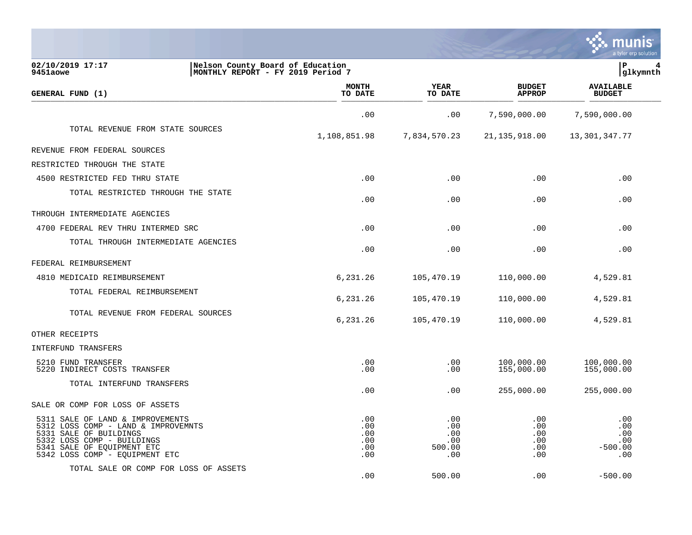|                                                                                                                                                                                                 |                                                                        |                                           |                                        | a tyler erp solution                         |
|-------------------------------------------------------------------------------------------------------------------------------------------------------------------------------------------------|------------------------------------------------------------------------|-------------------------------------------|----------------------------------------|----------------------------------------------|
| 02/10/2019 17:17<br>9451aowe                                                                                                                                                                    | Nelson County Board of Education<br> MONTHLY REPORT - FY 2019 Period 7 |                                           |                                        | lР<br> glkymnth                              |
| GENERAL FUND (1)                                                                                                                                                                                | <b>MONTH</b><br>TO DATE                                                | <b>YEAR</b><br>TO DATE                    | <b>BUDGET</b><br><b>APPROP</b>         | <b>AVAILABLE</b><br><b>BUDGET</b>            |
|                                                                                                                                                                                                 | .00                                                                    | .00                                       | 7,590,000.00                           | 7,590,000.00                                 |
| TOTAL REVENUE FROM STATE SOURCES                                                                                                                                                                | 1,108,851.98                                                           | 7,834,570.23                              | 21, 135, 918.00                        | 13,301,347.77                                |
| REVENUE FROM FEDERAL SOURCES                                                                                                                                                                    |                                                                        |                                           |                                        |                                              |
| RESTRICTED THROUGH THE STATE                                                                                                                                                                    |                                                                        |                                           |                                        |                                              |
| 4500 RESTRICTED FED THRU STATE                                                                                                                                                                  | .00                                                                    | .00                                       | .00                                    | .00                                          |
| TOTAL RESTRICTED THROUGH THE STATE                                                                                                                                                              | .00                                                                    | .00                                       | .00                                    | .00                                          |
| THROUGH INTERMEDIATE AGENCIES                                                                                                                                                                   |                                                                        |                                           |                                        |                                              |
| 4700 FEDERAL REV THRU INTERMED SRC                                                                                                                                                              | .00                                                                    | .00                                       | .00                                    | .00                                          |
| TOTAL THROUGH INTERMEDIATE AGENCIES                                                                                                                                                             | .00                                                                    | .00                                       | .00                                    | .00                                          |
| FEDERAL REIMBURSEMENT                                                                                                                                                                           |                                                                        |                                           |                                        |                                              |
| 4810 MEDICAID REIMBURSEMENT                                                                                                                                                                     | 6,231.26                                                               | 105,470.19                                | 110,000.00                             | 4,529.81                                     |
| TOTAL FEDERAL REIMBURSEMENT                                                                                                                                                                     | 6,231.26                                                               | 105,470.19                                | 110,000.00                             | 4,529.81                                     |
| TOTAL REVENUE FROM FEDERAL SOURCES                                                                                                                                                              | 6,231.26                                                               | 105,470.19                                | 110,000.00                             | 4,529.81                                     |
| OTHER RECEIPTS                                                                                                                                                                                  |                                                                        |                                           |                                        |                                              |
| INTERFUND TRANSFERS                                                                                                                                                                             |                                                                        |                                           |                                        |                                              |
| 5210 FUND TRANSFER<br>5220 INDIRECT COSTS TRANSFER                                                                                                                                              | .00<br>.00                                                             | .00<br>.00                                | 100,000.00<br>155,000.00               | 100,000.00<br>155,000.00                     |
| TOTAL INTERFUND TRANSFERS                                                                                                                                                                       | .00                                                                    | .00                                       | 255,000.00                             | 255,000.00                                   |
| SALE OR COMP FOR LOSS OF ASSETS                                                                                                                                                                 |                                                                        |                                           |                                        |                                              |
| 5311 SALE OF LAND & IMPROVEMENTS<br>5312 LOSS COMP - LAND & IMPROVEMNTS<br>5331 SALE OF BUILDINGS<br>5332 LOSS COMP - BUILDINGS<br>5341 SALE OF EQUIPMENT ETC<br>5342 LOSS COMP - EQUIPMENT ETC | .00<br>.00<br>.00<br>.00<br>.00<br>.00                                 | .00<br>.00<br>.00<br>.00<br>500.00<br>.00 | .00<br>.00<br>.00<br>.00<br>.00<br>.00 | .00<br>.00<br>.00<br>.00<br>$-500.00$<br>.00 |
| TOTAL SALE OR COMP FOR LOSS OF ASSETS                                                                                                                                                           | .00                                                                    | 500.00                                    | .00                                    | $-500.00$                                    |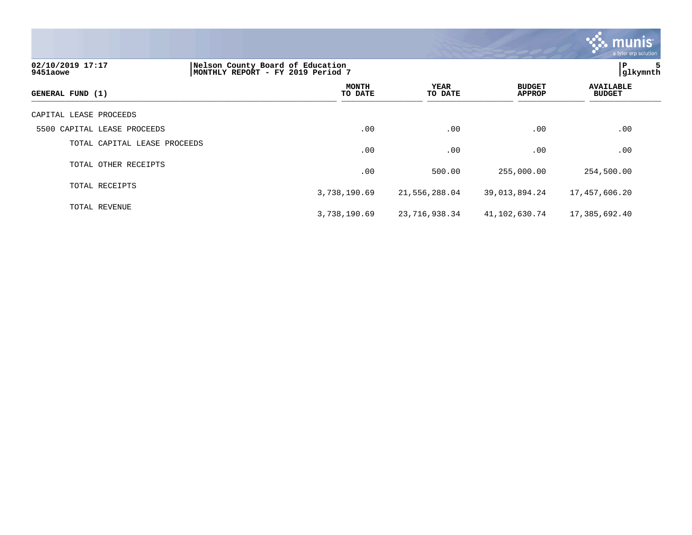|                              |                                                                       |                 |                                | <b>munis</b><br>a tyler erp solution |  |  |
|------------------------------|-----------------------------------------------------------------------|-----------------|--------------------------------|--------------------------------------|--|--|
| 02/10/2019 17:17<br>9451aowe | Nelson County Board of Education<br>MONTHLY REPORT - FY 2019 Period 7 |                 |                                |                                      |  |  |
| GENERAL FUND (1)             | <b>MONTH</b><br>TO DATE                                               | YEAR<br>TO DATE | <b>BUDGET</b><br><b>APPROP</b> | <b>AVAILABLE</b><br><b>BUDGET</b>    |  |  |
| CAPITAL LEASE PROCEEDS       |                                                                       |                 |                                |                                      |  |  |
| 5500 CAPITAL LEASE PROCEEDS  | .00                                                                   | .00             | .00                            | .00                                  |  |  |
| TOTAL CAPITAL LEASE PROCEEDS | .00                                                                   | .00             | .00                            | .00                                  |  |  |
| TOTAL OTHER RECEIPTS         | .00                                                                   | 500.00          | 255,000.00                     | 254,500.00                           |  |  |
| TOTAL RECEIPTS               | 3,738,190.69                                                          | 21,556,288.04   | 39,013,894.24                  | 17,457,606.20                        |  |  |
| TOTAL REVENUE                | 3,738,190.69                                                          | 23,716,938.34   | 41,102,630.74                  | 17,385,692.40                        |  |  |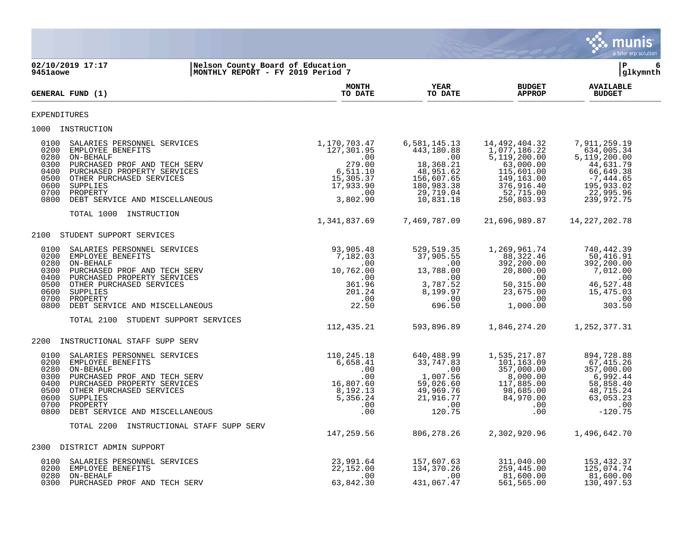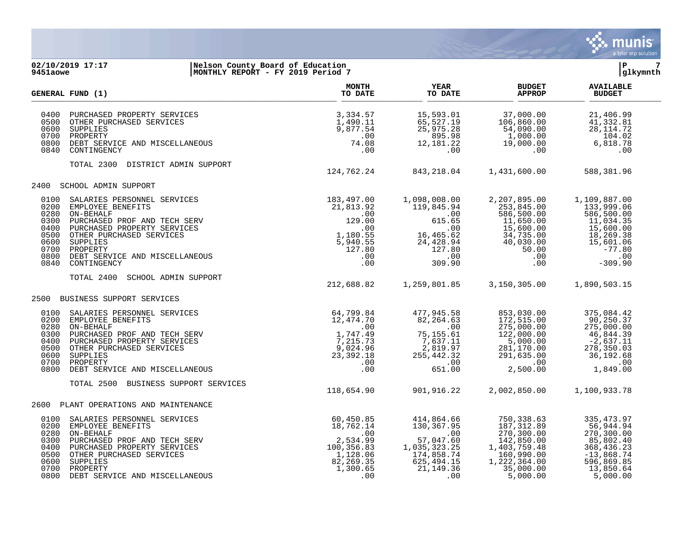

#### **02/10/2019 17:17 |Nelson County Board of Education |P 7 9451aowe |MONTHLY REPORT - FY 2019 Period 7 |glkymnth**

|                                                              | GENERAL FUND (1)                                                                                                                                                                                                                                                                                                                                                                                                                                   | <b>MONTH</b><br>TO DATE                                 | <b>YEAR</b><br>TO DATE                                                                                                                                                                                      | <b>BUDGET</b><br><b>APPROP</b>                                                                                                                                                                                                                                                           | <b>AVAILABLE</b><br><b>BUDGET</b>                                                                                            |  |
|--------------------------------------------------------------|----------------------------------------------------------------------------------------------------------------------------------------------------------------------------------------------------------------------------------------------------------------------------------------------------------------------------------------------------------------------------------------------------------------------------------------------------|---------------------------------------------------------|-------------------------------------------------------------------------------------------------------------------------------------------------------------------------------------------------------------|------------------------------------------------------------------------------------------------------------------------------------------------------------------------------------------------------------------------------------------------------------------------------------------|------------------------------------------------------------------------------------------------------------------------------|--|
| 0400<br>0500<br>0600<br>0700<br>0840                         | PURCHASED PROPERTY SERVICES<br>OTHER PURCHASED SERVICES<br>SUPPLIES<br>PROPERTY<br>0800 DEBT SERVICE AND MISCELLANEOUS<br>CONTINGENCY                                                                                                                                                                                                                                                                                                              | 3,334.57<br>1,490.11<br>9,877.54<br>.00<br>74.08<br>.00 | 15,593.01<br>65, 527.19<br>25, 975.28                                                                                                                                                                       | 37,000.00<br>106,860.00<br>$25,975.28$<br>$895.98$<br>$12,181.22$<br>$0$<br>$19,000.00$<br>$104$<br>$19,000.00$<br>$104$<br>$19,000.00$<br>$6,818$<br>$100$<br>$6,818$                                                                                                                   | 21,406.99<br>41,332.81<br>28, 114.72<br>104.02<br>6,818.78<br>.00                                                            |  |
|                                                              | TOTAL 2300 DISTRICT ADMIN SUPPORT                                                                                                                                                                                                                                                                                                                                                                                                                  | 124,762.24 843,218.04 1,431,600.00 588,381.96           |                                                                                                                                                                                                             |                                                                                                                                                                                                                                                                                          |                                                                                                                              |  |
| 2400                                                         | SCHOOL ADMIN SUPPORT                                                                                                                                                                                                                                                                                                                                                                                                                               |                                                         |                                                                                                                                                                                                             |                                                                                                                                                                                                                                                                                          |                                                                                                                              |  |
| 0100<br>0200<br>0280<br>0300<br>0400<br>0500<br>0600<br>0800 | ERVICES<br>ECH SERV<br>21,813.92<br>.00<br>ECH SERV<br>129.00<br>I29.00<br>ERVICES<br>ICES<br>127.80<br>CELLANEOUS<br>.00<br>.00<br>.00<br>.00<br>127.80<br>.00<br>.00<br>5,940.55<br>127.80<br>.00<br>SALARIES PERSONNEL SERVICES<br>EMPLOYEE BENEFITS<br>ON-BEHALF<br>PURCHASED PROF AND TECH SERV<br>PURCHASED PROPERTY SERVICES<br>OTHER PURCHASED SERVICES<br>SUPPLIES<br>0700 PROPERTY<br>DEBT SERVICE AND MISCELLANEOUS<br>0840 CONTINGENCY |                                                         | 16,465.62<br>24,428.94                                                                                                                                                                                      | 2,207,895.00<br>$\begin{array}{c} \text{75.100} \\ 615.65 \\ 65.62 \\ 24,428.94 \\ 0.00 \\ 309.90 \\ \end{array} \quad \begin{array}{c} \text{75.100} \\ \text{75.845.00} \\ \text{11,650.00} \\ 11,650.00 \\ 15,600.00 \\ 15,600.00 \\ 40,030.00 \\ 50.00 \\ 0.0 \\ 0.0 \\ \end{array}$ | 1,109,887.00<br>133,999.06<br>586,500.00<br>11,034.35<br>15,600.00<br>18,269.38<br>15,601.06<br>$-77.80$<br>.00<br>$-309.90$ |  |
|                                                              | TOTAL 2400<br>SCHOOL ADMIN SUPPORT                                                                                                                                                                                                                                                                                                                                                                                                                 | 212,688.82                                              | 1,259,801.85                                                                                                                                                                                                | 3,150,305.00                                                                                                                                                                                                                                                                             | 1,890,503.15                                                                                                                 |  |
|                                                              | 2500 BUSINESS SUPPORT SERVICES                                                                                                                                                                                                                                                                                                                                                                                                                     |                                                         |                                                                                                                                                                                                             |                                                                                                                                                                                                                                                                                          |                                                                                                                              |  |
| 0100<br>0200<br>0300<br>0400<br>0600<br>0800                 | USINESS SUPPORT SERVICES<br>SALARIES PERSONNEL SERVICES<br>EMPLOYEE BENEFITS<br>ON-BEHALF<br>PURCHASED PROF AND TECH SERV<br>PURCHASED PROPERTY SERVICES<br>OTHER PURCHASED SERVICES<br>SUPPLIES<br>OF AND MISCELLANEOUS<br>DEBT SERVICE AND MIS<br>0280 ON-BEHALF<br>0500 OTHER PURCHASED SERVICES<br>0700 PROPERTY                                                                                                                               |                                                         | 477,945.58<br>$75,155.61$<br>$7,637.11$<br>$25,442.32$<br>$255,442.32$<br>$00$<br>$651.00$<br>$82,264.63$<br>$7,637.11$<br>$2,819.97$<br>$255,442.32$<br>$651$<br>$651$<br>$651$<br>$651$<br>$652$<br>$652$ | 853,030.00<br>172,515.00<br>275,000.00<br>122,000.00<br>5,000.00<br>281,170.00<br>291,635.00<br>$-100$<br>2,500.00                                                                                                                                                                       | 375,084.42<br>90,250.37<br>275,000.00<br>46,844.39<br>$-2,637.11$<br>278,350.03<br>36,192.68<br>.00<br>1,849.00              |  |
|                                                              | TOTAL 2500<br>BUSINESS SUPPORT SERVICES                                                                                                                                                                                                                                                                                                                                                                                                            | 118,654.90                                              | 901,916.22                                                                                                                                                                                                  | 2,002,850.00                                                                                                                                                                                                                                                                             | 1,100,933.78                                                                                                                 |  |
| 2600                                                         | PLANT OPERATIONS AND MAINTENANCE                                                                                                                                                                                                                                                                                                                                                                                                                   |                                                         |                                                                                                                                                                                                             |                                                                                                                                                                                                                                                                                          |                                                                                                                              |  |
| 0100<br>0200<br>0280<br>0300<br>0400<br>0500<br>0600         | 0700 PROPERTY<br>0800 DEBT SERVICE AND MISCELLANEOUS                                                                                                                                                                                                                                                                                                                                                                                               |                                                         | 414,864.66<br>130,367.95<br>00<br>57,047.60<br>1,035,323.25<br>174,858.74<br>174,858.74<br>174,858.74<br>625,101<br>625,494.15<br>21, 149. 36<br>.00                                                        | 750,338.63<br>187, 312.89<br>270, 300.00<br>142,850.00<br>1,403,759.48<br>160,990.00<br>1,222,364.00<br>35,000.00<br>5,000.00                                                                                                                                                            | 335, 473.97<br>56,944.94<br>270, 300.00<br>85,802.40<br>368,436.23<br>$-13,868.74$<br>596,869.85<br>13,850.64<br>5,000.00    |  |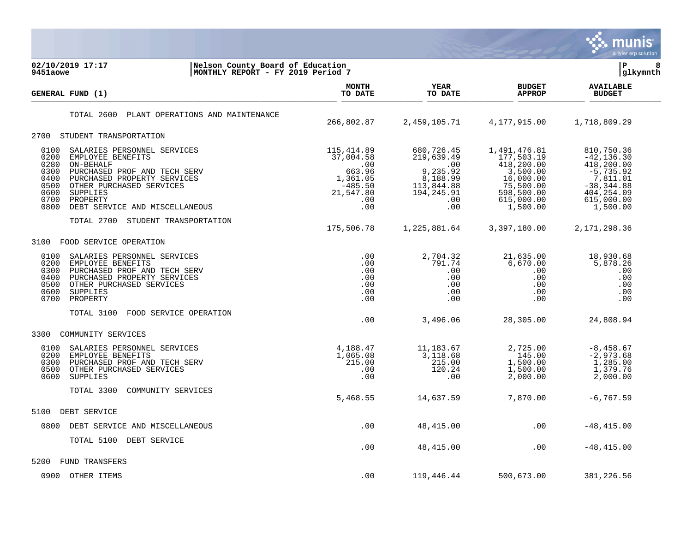

02/10/2019 17:17 **12.17** Nelson County Board of Education<br> **02/10/2019 17:17** Now MONTHLY REPORT - FY 2019 Period 7 **MONTHLY REPORT - FY 2019 Period 7 MONTH AVAILABLE YEAR BUDGET** AVAILABLE **GENERAL FUND (1) TO DATE TO DATE APPROP BUDGET**   $\frac{10 \text{ Bheb}}{10 \text{ Bheb}}$ TOTAL 2600 PLANT OPERATIONS AND MAINTENANCE 266,802.87 2,459,105.71 4,177,915.00 1,718,809.29 2700 STUDENT TRANSPORTATION 0100 SALARIES PERSONNEL SERVICES (115,414.89 680,726.45 1,491,476.81 810,750.36<br>0200 EMPLOYEE BENEFITS (136.30 37,004.58 219,639.49 177,503.19 -42,136.30 0200 EMPLOYEE BENEFITS 37,004.58 219,639.49 177,503.19 -42,136.30 0280 ON-BEHALF .00 .00 418,200.00 418,200.00 0300 PURCHASED PROF AND TECH SERV 663.96 663.96 9,235.92 3,500.00 -5,735.92<br>0400 PURCHASED PROPERTY SERVICES 1,361.05 8,188.99 16,000.00 7,811.01<br>0500 OTHER PURCHASED SERVICES -485.50 113,844.88 75,500.00 -38,344.88 0400 PURCHASED PROPERTY SERVICES 1,361.05 8,188.99 16,000.00 7,811.01 0500 OTHER PURCHASED SERVICES -485.50 -485.50 113,844.88 75,500.00 -38,344.88<br>194.245.91 598.500.00 -404.254.09 194.245.91 598.500.00 404.254.09 0600 SUPPLIES 21,547.80 194,245.91 598,500.00 404,254.09 0700 PROPERTY .00 .00 615,000.00 615,000.00 0800 DEBT SERVICE AND MISCELLANEOUS **.00** .00 .00 .00 .00 1,500.00 1,500.00 TOTAL 2700 STUDENT TRANSPORTATION 175,506.78 1,225,881.64 3,397,180.00 2,171,298.36 3100 FOOD SERVICE OPERATION 0100 SALARIES PERSONNEL SERVICES .00 2,704.32 21,635.00 18,930.68 0200 EMPLOYEE BENEFITS .00 791.74 6,670.00 5,878.26 0300 PURCHASED PROF AND TECH SERV .00 .00 .00 .00 0400 PURCHASED PROPERTY SERVICES .00 .00 .00 .00 0500 OTHER PURCHASED SERVICES .00 .00 .00 .00 0600 SUPPLIES .00 .00 .00 .00 0700 PROPERTY .00 .00 .00 .00 TOTAL 3100 FOOD SERVICE OPERATION .00 3,496.06 28,305.00 24,808.94 3300 COMMUNITY SERVICES 0100 SALARIES PERSONNEL SERVICES (4,188.47 11,183.67 2,725.00 -8,458.67 -8,458.67 )<br>0200 EMPLOYEE BENEFITS (4,065.08 3,118.68 145.00 -2,973.68 0200 EMPLOYEE BENEFITS 1,065.08 3,118.68 145.00 -2,973.68 0300 PURCHASED PROF AND TECH SERV 215.00 215.00 1,500.00 1,285.00 0500 OTHER PURCHASED SERVICES .00 120.24 1,500.00 1,379.76 0600 SUPPLIES .00 .00 2,000.00 2,000.00 TOTAL 3300 COMMUNITY SERVICES 5,468.55 14,637.59 7,870.00 -6,767.59 5100 DEBT SERVICE 0800 DEBT SERVICE AND MISCELLANEOUS .00 48,415.00 .00 -48,415.00 TOTAL 5100 DEBT SERVICE .00 48,415.00 .00 -48,415.00 5200 FUND TRANSFERS 0900 OTHER ITEMS .00 119,446.44 500,673.00 381,226.56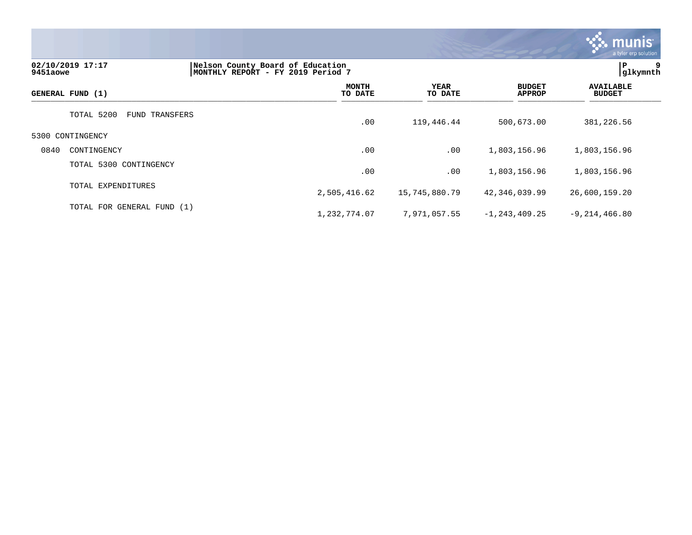

# **02/10/2019 17:17 |Nelson County Board of Education |P 9 9451aowe |MONTHLY REPORT - FY 2019 Period 7 |glkymnth MONTH AVAILABLE YEAR BUDGET** AVAILABLE **GENERAL FUND (1) TO DATE TO DATE APPROP BUDGET**   $\frac{10 \text{ Bheb}}{10 \text{ Bheb}}$ TOTAL 5200 FUND TRANSFERS .00 119,446.44 500,673.00 381,226.56 5300 CONTINGENCY 0840 CONTINGENCY .00 .00 1,803,156.96 1,803,156.96 TOTAL 5300 CONTINGENCY .00 .00 1,803,156.96 1,803,156.96 TOTAL EXPENDITURES 2,505,416.62 15,745,880.79 42,346,039.99 26,600,159.20 TOTAL FOR GENERAL FUND (1) 1,232,774.07 7,971,057.55 -1,243,409.25 -9,214,466.80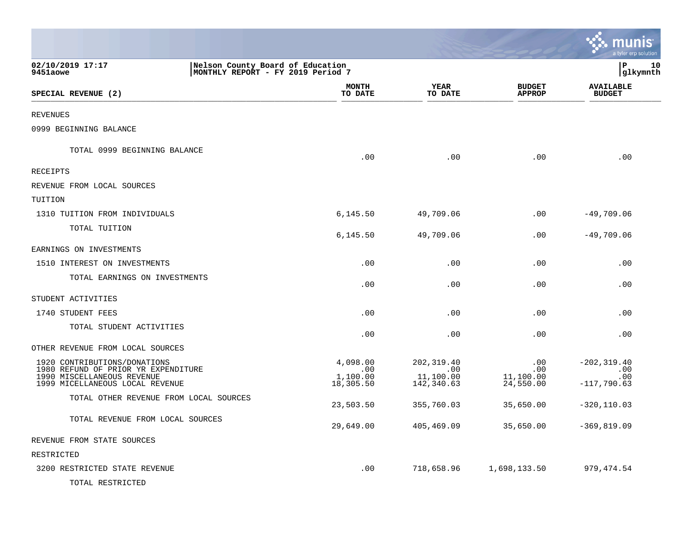|                                                                                                        |                             |                                 |                                | munis<br>a tyler erp solution     |
|--------------------------------------------------------------------------------------------------------|-----------------------------|---------------------------------|--------------------------------|-----------------------------------|
| 02/10/2019 17:17<br>Nelson County Board of Education<br>9451aowe<br> MONTHLY REPORT - FY 2019 Period 7 |                             |                                 |                                | lР<br>10<br> glkymnth             |
| SPECIAL REVENUE (2)                                                                                    | <b>MONTH</b><br>TO DATE     | <b>YEAR</b><br>TO DATE          | <b>BUDGET</b><br><b>APPROP</b> | <b>AVAILABLE</b><br><b>BUDGET</b> |
| REVENUES                                                                                               |                             |                                 |                                |                                   |
| 0999 BEGINNING BALANCE                                                                                 |                             |                                 |                                |                                   |
| TOTAL 0999 BEGINNING BALANCE                                                                           | .00                         | .00                             | .00                            | .00                               |
| RECEIPTS                                                                                               |                             |                                 |                                |                                   |
| REVENUE FROM LOCAL SOURCES                                                                             |                             |                                 |                                |                                   |
| TUITION                                                                                                |                             |                                 |                                |                                   |
| 1310 TUITION FROM INDIVIDUALS                                                                          | 6,145.50                    | 49,709.06                       | .00                            | $-49,709.06$                      |
| TOTAL TUITION                                                                                          | 6,145.50                    | 49,709.06                       | .00                            | $-49,709.06$                      |
| EARNINGS ON INVESTMENTS                                                                                |                             |                                 |                                |                                   |
| 1510 INTEREST ON INVESTMENTS                                                                           | .00                         | .00                             | .00                            | .00                               |
| TOTAL EARNINGS ON INVESTMENTS                                                                          | .00                         | .00                             | .00                            | .00                               |
| STUDENT ACTIVITIES                                                                                     |                             |                                 |                                |                                   |
| 1740 STUDENT FEES                                                                                      | .00                         | .00                             | .00                            | .00                               |
| TOTAL STUDENT ACTIVITIES                                                                               | .00                         | .00                             | .00                            | .00                               |
| OTHER REVENUE FROM LOCAL SOURCES                                                                       |                             |                                 |                                |                                   |
| 1920 CONTRIBUTIONS/DONATIONS<br>1980 REFUND OF PRIOR YR EXPENDITURE<br>1990 MISCELLANEOUS REVENUE      | 4,098.00<br>.00<br>1,100.00 | 202, 319.40<br>.00<br>11,100.00 | .00<br>.00<br>11,100.00        | $-202, 319.40$<br>.00<br>.00      |
| 1999 MICELLANEOUS LOCAL REVENUE<br>TOTAL OTHER REVENUE FROM LOCAL SOURCES                              | 18,305.50<br>23,503.50      | 142,340.63<br>355,760.03        | 24,550.00<br>35,650.00         | $-117,790.63$<br>$-320, 110.03$   |
| TOTAL REVENUE FROM LOCAL SOURCES                                                                       | 29,649.00                   | 405,469.09                      | 35,650.00                      | $-369, 819.09$                    |
| REVENUE FROM STATE SOURCES                                                                             |                             |                                 |                                |                                   |
| RESTRICTED                                                                                             |                             |                                 |                                |                                   |
| 3200 RESTRICTED STATE REVENUE                                                                          | .00                         | 718,658.96                      | 1,698,133.50                   | 979, 474.54                       |
| TOTAL RESTRICTED                                                                                       |                             |                                 |                                |                                   |

 $\mathcal{L}$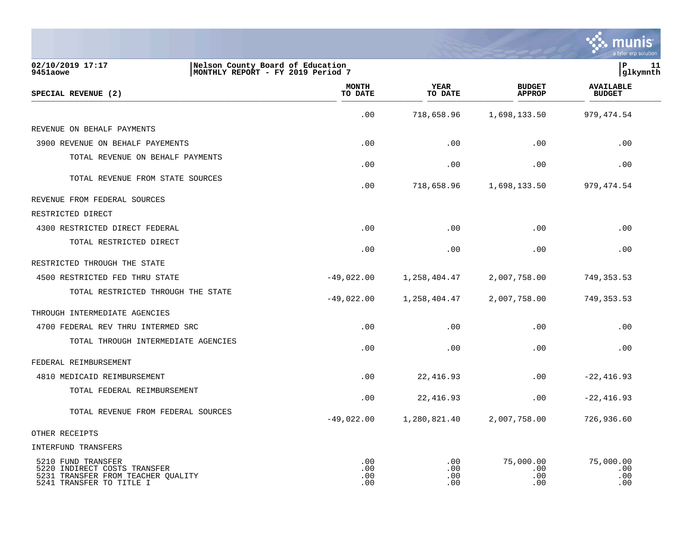

| 02/10/2019 17:17<br>9451aowe                                                                                         | Nelson County Board of Education<br>MONTHLY REPORT - FY 2019 Period 7 | P<br>11<br> glkymnth     |                          |                                |                                   |  |
|----------------------------------------------------------------------------------------------------------------------|-----------------------------------------------------------------------|--------------------------|--------------------------|--------------------------------|-----------------------------------|--|
| SPECIAL REVENUE (2)                                                                                                  |                                                                       | <b>MONTH</b><br>TO DATE  | <b>YEAR</b><br>TO DATE   | <b>BUDGET</b><br><b>APPROP</b> | <b>AVAILABLE</b><br><b>BUDGET</b> |  |
|                                                                                                                      |                                                                       | .00                      | 718,658.96               | 1,698,133.50                   | 979, 474.54                       |  |
| REVENUE ON BEHALF PAYMENTS                                                                                           |                                                                       |                          |                          |                                |                                   |  |
| 3900 REVENUE ON BEHALF PAYEMENTS                                                                                     |                                                                       | .00                      | .00                      | .00                            | .00                               |  |
| TOTAL REVENUE ON BEHALF PAYMENTS                                                                                     |                                                                       | .00                      | .00                      | .00                            | .00                               |  |
| TOTAL REVENUE FROM STATE SOURCES                                                                                     |                                                                       | .00                      | 718,658.96               | 1,698,133.50                   | 979,474.54                        |  |
| REVENUE FROM FEDERAL SOURCES                                                                                         |                                                                       |                          |                          |                                |                                   |  |
| RESTRICTED DIRECT                                                                                                    |                                                                       |                          |                          |                                |                                   |  |
| 4300 RESTRICTED DIRECT FEDERAL                                                                                       |                                                                       | .00                      | .00                      | .00                            | .00                               |  |
| TOTAL RESTRICTED DIRECT                                                                                              |                                                                       | .00                      | .00                      | .00                            | .00                               |  |
| RESTRICTED THROUGH THE STATE                                                                                         |                                                                       |                          |                          |                                |                                   |  |
| 4500 RESTRICTED FED THRU STATE                                                                                       |                                                                       | $-49,022.00$             | 1,258,404.47             | 2,007,758.00                   | 749, 353.53                       |  |
| TOTAL RESTRICTED THROUGH THE STATE                                                                                   |                                                                       | $-49,022.00$             | 1,258,404.47             | 2,007,758.00                   | 749,353.53                        |  |
| THROUGH INTERMEDIATE AGENCIES                                                                                        |                                                                       |                          |                          |                                |                                   |  |
| 4700 FEDERAL REV THRU INTERMED SRC                                                                                   |                                                                       | .00                      | .00                      | .00                            | .00                               |  |
| TOTAL THROUGH INTERMEDIATE AGENCIES                                                                                  |                                                                       | .00                      | .00                      | .00                            | .00                               |  |
| FEDERAL REIMBURSEMENT                                                                                                |                                                                       |                          |                          |                                |                                   |  |
| 4810 MEDICAID REIMBURSEMENT                                                                                          |                                                                       | .00                      | 22,416.93                | .00                            | $-22, 416.93$                     |  |
| TOTAL FEDERAL REIMBURSEMENT                                                                                          |                                                                       | .00                      | 22,416.93                | .00                            | $-22, 416.93$                     |  |
| TOTAL REVENUE FROM FEDERAL SOURCES                                                                                   |                                                                       | $-49,022.00$             | 1,280,821.40             | 2,007,758.00                   | 726,936.60                        |  |
| OTHER RECEIPTS                                                                                                       |                                                                       |                          |                          |                                |                                   |  |
| INTERFUND TRANSFERS                                                                                                  |                                                                       |                          |                          |                                |                                   |  |
| 5210 FUND TRANSFER<br>5220 INDIRECT COSTS TRANSFER<br>5231 TRANSFER FROM TEACHER QUALITY<br>5241 TRANSFER TO TITLE I |                                                                       | .00<br>.00<br>.00<br>.00 | .00<br>.00<br>.00<br>.00 | 75,000.00<br>.00<br>.00<br>.00 | 75,000.00<br>.00<br>.00<br>.00    |  |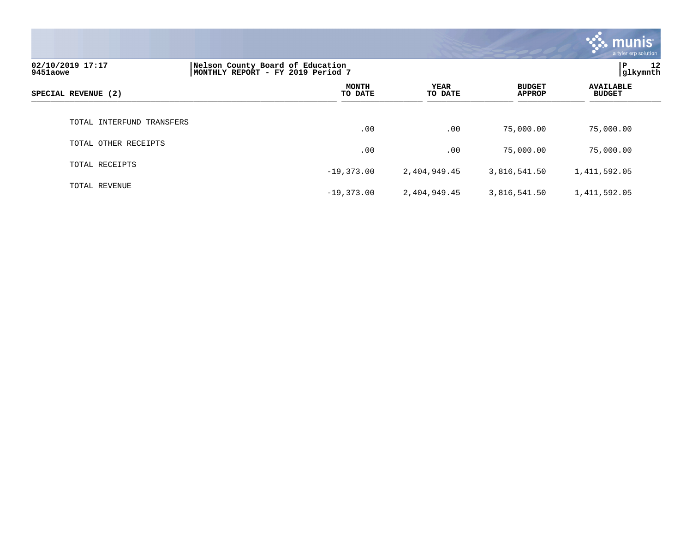|                              |                                                                       |                        |                                | <b>Munis</b><br>a tyler erp solution |
|------------------------------|-----------------------------------------------------------------------|------------------------|--------------------------------|--------------------------------------|
| 02/10/2019 17:17<br>9451aowe | Nelson County Board of Education<br>MONTHLY REPORT - FY 2019 Period 7 |                        |                                | P.<br>12<br>glkymnth                 |
| SPECIAL REVENUE (2)          | <b>MONTH</b><br>TO DATE                                               | <b>YEAR</b><br>TO DATE | <b>BUDGET</b><br><b>APPROP</b> | <b>AVAILABLE</b><br><b>BUDGET</b>    |
| TOTAL INTERFUND TRANSFERS    | .00                                                                   | .00                    | 75,000.00                      | 75,000.00                            |
| TOTAL OTHER RECEIPTS         | .00                                                                   | .00                    | 75,000.00                      | 75,000.00                            |
| TOTAL RECEIPTS               | $-19,373.00$                                                          | 2,404,949.45           | 3,816,541.50                   | 1,411,592.05                         |
| TOTAL REVENUE                | $-19,373.00$                                                          | 2,404,949.45           | 3,816,541.50                   | 1,411,592.05                         |

 $\mathcal{L}$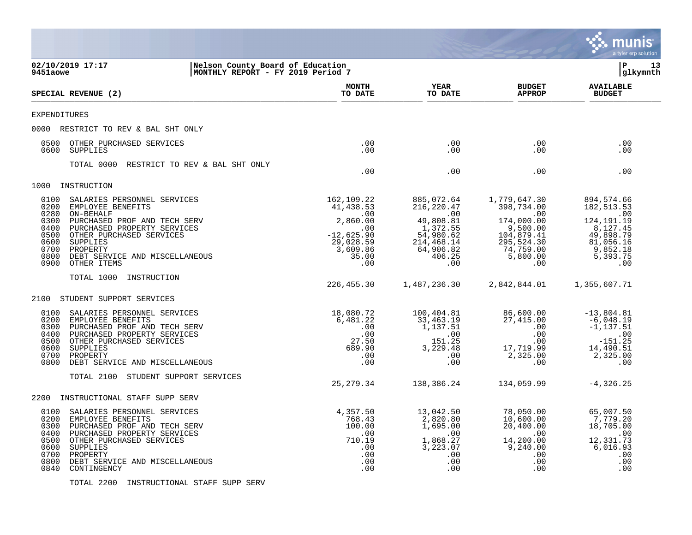|                                                                                                                              |                                                                                                                                                                                                                                                                                                                                                                                                                                           |                                                                                                                                                                          |                                                                                                                                                                                           |                                                                                                                                                                                        | munis<br>a tyler erp solution                                                                                                                                                                                 |
|------------------------------------------------------------------------------------------------------------------------------|-------------------------------------------------------------------------------------------------------------------------------------------------------------------------------------------------------------------------------------------------------------------------------------------------------------------------------------------------------------------------------------------------------------------------------------------|--------------------------------------------------------------------------------------------------------------------------------------------------------------------------|-------------------------------------------------------------------------------------------------------------------------------------------------------------------------------------------|----------------------------------------------------------------------------------------------------------------------------------------------------------------------------------------|---------------------------------------------------------------------------------------------------------------------------------------------------------------------------------------------------------------|
| 9451aowe                                                                                                                     | 02/10/2019 17:17<br>Nelson County Board of Education<br>MONTHLY REPORT - FY 2019 Period 7                                                                                                                                                                                                                                                                                                                                                 |                                                                                                                                                                          |                                                                                                                                                                                           |                                                                                                                                                                                        | l P<br>13<br> glkymnth                                                                                                                                                                                        |
|                                                                                                                              | SPECIAL REVENUE (2)                                                                                                                                                                                                                                                                                                                                                                                                                       | <b>MONTH</b><br>TO DATE                                                                                                                                                  | YEAR<br>TO DATE                                                                                                                                                                           | <b>BUDGET</b><br><b>APPROP</b>                                                                                                                                                         | <b>AVAILABLE</b><br><b>BUDGET</b>                                                                                                                                                                             |
| <b>EXPENDITURES</b>                                                                                                          |                                                                                                                                                                                                                                                                                                                                                                                                                                           |                                                                                                                                                                          |                                                                                                                                                                                           |                                                                                                                                                                                        |                                                                                                                                                                                                               |
| 0000                                                                                                                         | RESTRICT TO REV & BAL SHT ONLY                                                                                                                                                                                                                                                                                                                                                                                                            |                                                                                                                                                                          |                                                                                                                                                                                           |                                                                                                                                                                                        |                                                                                                                                                                                                               |
| 0500<br>0600                                                                                                                 | OTHER PURCHASED SERVICES<br>SUPPLIES                                                                                                                                                                                                                                                                                                                                                                                                      | .00<br>.00                                                                                                                                                               | .00<br>.00                                                                                                                                                                                | .00<br>.00                                                                                                                                                                             | .00<br>.00                                                                                                                                                                                                    |
|                                                                                                                              | TOTAL 0000<br>RESTRICT TO REV & BAL SHT ONLY                                                                                                                                                                                                                                                                                                                                                                                              | .00                                                                                                                                                                      | .00                                                                                                                                                                                       | .00                                                                                                                                                                                    | .00                                                                                                                                                                                                           |
| 1000                                                                                                                         | INSTRUCTION                                                                                                                                                                                                                                                                                                                                                                                                                               |                                                                                                                                                                          |                                                                                                                                                                                           |                                                                                                                                                                                        |                                                                                                                                                                                                               |
| 0100<br>0200<br>0280<br>0300<br>0400<br>0500<br>0600<br>0700<br>0800<br>0900<br>2100<br>0100<br>0200<br>0300<br>0400<br>0500 | SALARIES PERSONNEL SERVICES<br>EMPLOYEE BENEFITS<br>ON-BEHALF<br>PURCHASED PROF AND TECH SERV<br>PURCHASED PROPERTY SERVICES<br>OTHER PURCHASED SERVICES<br>SUPPLIES<br>PROPERTY<br>DEBT SERVICE AND MISCELLANEOUS<br>OTHER ITEMS<br>TOTAL 1000<br>INSTRUCTION<br>STUDENT SUPPORT SERVICES<br>SALARIES PERSONNEL SERVICES<br>EMPLOYEE BENEFITS<br>PURCHASED PROF AND TECH SERV<br>PURCHASED PROPERTY SERVICES<br>OTHER PURCHASED SERVICES | 162,109.22<br>41,438.53<br>.00<br>2,860.00<br>.00<br>$-12,625.90$<br>29,028.59<br>3,609.86<br>35.00<br>.00<br>226,455.30<br>18,080.72<br>6,481.22<br>.00<br>.00<br>27.50 | 885,072.64<br>216,220.47<br>.00<br>49,808.81<br>1,372.55<br>54,980.62<br>214,468.14<br>64,906.82<br>406.25<br>.00<br>1,487,236.30<br>100,404.81<br>33,463.19<br>1,137.51<br>.00<br>151.25 | 1,779,647.30<br>398,734.00<br>.00<br>174,000.00<br>9,500.00<br>104,879.41<br>295,524.30<br>74,759.00<br>5,800.00<br>.00<br>2,842,844.01<br>86,600.00<br>27,415.00<br>.00<br>.00<br>.00 | 894,574.66<br>182, 513.53<br>.00<br>124, 191. 19<br>8,127.45<br>49,898.79<br>81,056.16<br>9,852.18<br>5,393.75<br>.00<br>1,355,607.71<br>$-13,804.81$<br>$-6,048.19$<br>$-1, 137.51$<br>$\,$ .00<br>$-151.25$ |
| 0600<br>0700<br>0800                                                                                                         | SUPPLIES<br>PROPERTY<br>DEBT SERVICE AND MISCELLANEOUS                                                                                                                                                                                                                                                                                                                                                                                    | 689.90<br>.00<br>.00                                                                                                                                                     | 3,229.48<br>.00<br>.00                                                                                                                                                                    | 17,719.99<br>2,325.00<br>.00                                                                                                                                                           | 14,490.51<br>2,325.00<br>.00                                                                                                                                                                                  |
|                                                                                                                              | TOTAL 2100<br>STUDENT SUPPORT SERVICES                                                                                                                                                                                                                                                                                                                                                                                                    | 25, 279.34                                                                                                                                                               | 138,386.24                                                                                                                                                                                | 134,059.99                                                                                                                                                                             | $-4, 326.25$                                                                                                                                                                                                  |
| 2200                                                                                                                         | INSTRUCTIONAL STAFF SUPP SERV                                                                                                                                                                                                                                                                                                                                                                                                             |                                                                                                                                                                          |                                                                                                                                                                                           |                                                                                                                                                                                        |                                                                                                                                                                                                               |
| 0100<br>0200<br>0300<br>0400<br>0500<br>0600<br>0700<br>0800<br>0840                                                         | SALARIES PERSONNEL SERVICES<br>EMPLOYEE BENEFITS<br>PURCHASED PROF AND TECH SERV<br>PURCHASED PROPERTY SERVICES<br>OTHER PURCHASED SERVICES<br>SUPPLIES<br>PROPERTY<br>DEBT SERVICE AND MISCELLANEOUS<br>CONTINGENCY                                                                                                                                                                                                                      | 4,357.50<br>768.43<br>100.00<br>.00<br>710.19<br>.00<br>.00<br>.00<br>.00                                                                                                | 13,042.50<br>2,820.80<br>1,695.00<br>$\overline{\phantom{0}}$ .00<br>1,868.27<br>3,223.07<br>.00<br>.00<br>.00                                                                            | 78,050.00<br>10,600.00<br>20,400.00<br>.00<br>14,200.00<br>9,240.00<br>.00<br>.00<br>.00                                                                                               | 65,007.50<br>7,779.20<br>18,705.00<br>$\sim 00$<br>12,331.73<br>6,016.93<br>.00<br>.00<br>.00                                                                                                                 |

TOTAL 2200 INSTRUCTIONAL STAFF SUPP SERV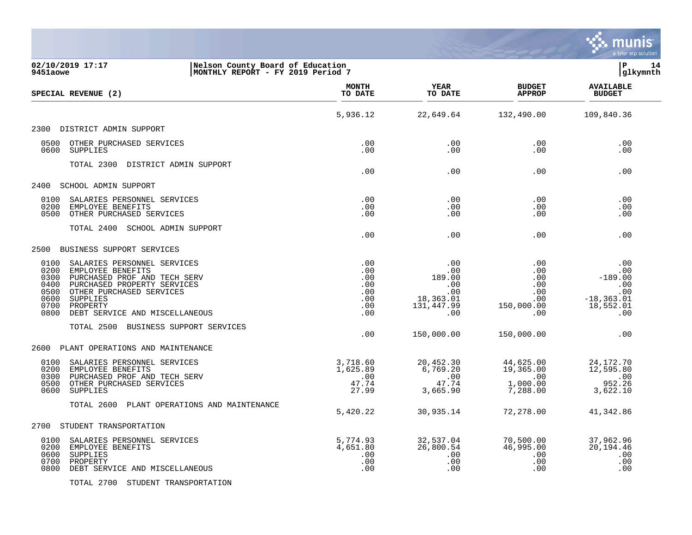

| 02/10/2019 17:17<br>Nelson County Board of Education<br>MONTHLY REPORT - FY 2019 Period 7<br>9451aowe                                                                                                                                                                 |                                                           |                                                                      |                                                             | lР<br>14<br> glkymnth                                                           |
|-----------------------------------------------------------------------------------------------------------------------------------------------------------------------------------------------------------------------------------------------------------------------|-----------------------------------------------------------|----------------------------------------------------------------------|-------------------------------------------------------------|---------------------------------------------------------------------------------|
| SPECIAL REVENUE (2)                                                                                                                                                                                                                                                   | <b>MONTH</b><br>TO DATE                                   | <b>YEAR</b><br>TO DATE                                               | <b>BUDGET</b><br><b>APPROP</b>                              | <b>AVAILABLE</b><br><b>BUDGET</b>                                               |
|                                                                                                                                                                                                                                                                       | 5,936.12                                                  | 22,649.64                                                            | 132,490.00                                                  | 109,840.36                                                                      |
| 2300 DISTRICT ADMIN SUPPORT                                                                                                                                                                                                                                           |                                                           |                                                                      |                                                             |                                                                                 |
| 0500<br>OTHER PURCHASED SERVICES<br>0600<br>SUPPLIES                                                                                                                                                                                                                  | .00<br>.00                                                | .00<br>.00                                                           | .00<br>.00                                                  | .00<br>.00                                                                      |
| TOTAL 2300 DISTRICT ADMIN SUPPORT                                                                                                                                                                                                                                     | .00                                                       | .00                                                                  | .00                                                         | .00                                                                             |
| 2400<br>SCHOOL ADMIN SUPPORT                                                                                                                                                                                                                                          |                                                           |                                                                      |                                                             |                                                                                 |
| 0100<br>SALARIES PERSONNEL SERVICES<br>0200<br>EMPLOYEE BENEFITS<br>OTHER PURCHASED SERVICES<br>0500                                                                                                                                                                  | .00<br>.00<br>.00                                         | .00<br>.00<br>.00                                                    | .00<br>.00<br>.00                                           | .00<br>.00<br>.00                                                               |
| TOTAL 2400 SCHOOL ADMIN SUPPORT                                                                                                                                                                                                                                       | .00                                                       | .00                                                                  | .00                                                         | .00                                                                             |
| BUSINESS SUPPORT SERVICES<br>2500                                                                                                                                                                                                                                     |                                                           |                                                                      |                                                             |                                                                                 |
| 0100<br>SALARIES PERSONNEL SERVICES<br>0200<br>EMPLOYEE BENEFITS<br>0300<br>PURCHASED PROF AND TECH SERV<br>PURCHASED PROPERTY SERVICES<br>0400<br>0500<br>OTHER PURCHASED SERVICES<br>0600<br>SUPPLIES<br>0700<br>PROPERTY<br>0800<br>DEBT SERVICE AND MISCELLANEOUS | .00<br>.00<br>.00<br>.00<br>.00<br>.00<br>.00<br>.00      | .00<br>.00<br>189.00<br>.00<br>.00<br>18,363.01<br>131,447.99<br>.00 | .00<br>.00<br>.00<br>.00<br>.00<br>.00<br>150,000.00<br>.00 | .00<br>.00<br>$-189.00$<br>$\ldots$<br>.00<br>$-18, 363.01$<br>18,552.01<br>.00 |
| TOTAL 2500 BUSINESS SUPPORT SERVICES                                                                                                                                                                                                                                  | .00                                                       | 150,000.00                                                           | 150,000.00                                                  | .00                                                                             |
| PLANT OPERATIONS AND MAINTENANCE<br>2600                                                                                                                                                                                                                              |                                                           |                                                                      |                                                             |                                                                                 |
| 0100<br>SALARIES PERSONNEL SERVICES<br>0200<br>EMPLOYEE BENEFITS<br>0300<br>PURCHASED PROF AND TECH SERV<br>0500<br>OTHER PURCHASED SERVICES<br>0600<br>SUPPLIES                                                                                                      | 3,718.60<br>1,625.89<br>$\overline{00}$<br>47.74<br>27.99 | 20,452.30<br>6,769.20<br>$-00$<br>47.74<br>3,665.90                  | 44,625.00<br>19,365.00<br>$\sim 00$<br>1,000.00<br>7,288.00 | 24,172.70<br>12,595.80<br>$\sim$ 00<br>952.26<br>3,622.10                       |
| TOTAL 2600 PLANT OPERATIONS AND MAINTENANCE                                                                                                                                                                                                                           | 5,420.22                                                  | 30,935.14                                                            | 72,278.00                                                   | 41,342.86                                                                       |
| 2700<br>STUDENT TRANSPORTATION                                                                                                                                                                                                                                        |                                                           |                                                                      |                                                             |                                                                                 |
| 0100<br>SALARIES PERSONNEL SERVICES<br>0200<br>EMPLOYEE BENEFITS<br>0600<br>SUPPLIES<br>0700<br>PROPERTY<br>0800<br>DEBT SERVICE AND MISCELLANEOUS                                                                                                                    | 5,774.93<br>4,651.80<br>.00<br>.00<br>.00                 | 32,537.04<br>26,800.54<br>.00<br>.00<br>.00                          | 70,500.00<br>46,995.00<br>.00<br>.00<br>.00                 | 37,962.96<br>20,194.46<br>.00<br>.00<br>.00                                     |

TOTAL 2700 STUDENT TRANSPORTATION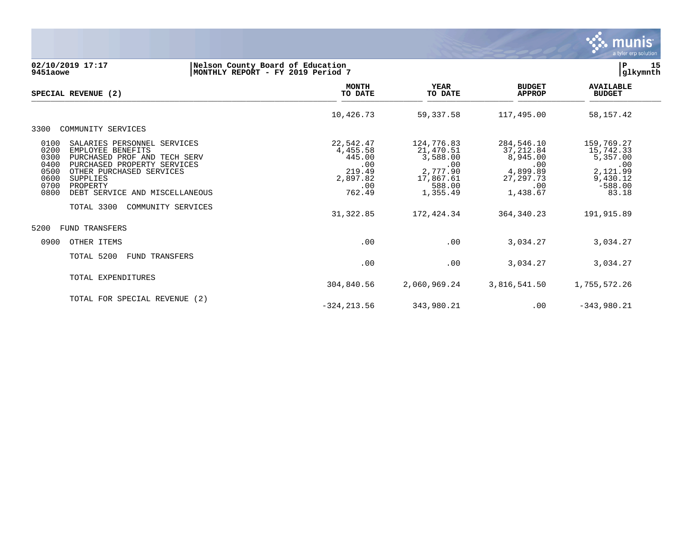

### **02/10/2019 17:17 |Nelson County Board of Education |P 15 9451aowe |MONTHLY REPORT - FY 2019 Period 7 |glkymnth**

| SPECIAL REVENUE (2)                                                                                                                                                                                                                                                          | <b>MONTH</b><br>TO DATE                                                       | <b>YEAR</b><br>TO DATE                                                                    | <b>BUDGET</b><br><b>APPROP</b>                                                            | <b>AVAILABLE</b><br><b>BUDGET</b>                                                        |
|------------------------------------------------------------------------------------------------------------------------------------------------------------------------------------------------------------------------------------------------------------------------------|-------------------------------------------------------------------------------|-------------------------------------------------------------------------------------------|-------------------------------------------------------------------------------------------|------------------------------------------------------------------------------------------|
|                                                                                                                                                                                                                                                                              | 10,426.73                                                                     | 59, 337.58                                                                                | 117,495.00                                                                                | 58, 157. 42                                                                              |
| 3300<br>COMMUNITY SERVICES                                                                                                                                                                                                                                                   |                                                                               |                                                                                           |                                                                                           |                                                                                          |
| 0100<br>SALARIES PERSONNEL SERVICES<br>0200<br>EMPLOYEE BENEFITS<br>0300<br>PURCHASED PROF AND TECH SERV<br>0400<br>PURCHASED PROPERTY SERVICES<br>0500<br>OTHER PURCHASED SERVICES<br>0600<br><b>SUPPLIES</b><br>0700<br>PROPERTY<br>0800<br>DEBT SERVICE AND MISCELLANEOUS | 22,542.47<br>4,455.58<br>445.00<br>.00<br>219.49<br>2,897.82<br>.00<br>762.49 | 124,776.83<br>21,470.51<br>3,588.00<br>.00<br>2,777.90<br>17,867.61<br>588.00<br>1,355.49 | 284,546.10<br>37, 212.84<br>8,945.00<br>.00<br>4,899.89<br>27, 297. 73<br>.00<br>1,438.67 | 159,769.27<br>15,742.33<br>5,357.00<br>.00<br>2,121.99<br>9,430.12<br>$-588.00$<br>83.18 |
| TOTAL 3300<br>COMMUNITY SERVICES                                                                                                                                                                                                                                             | 31, 322.85                                                                    | 172,424.34                                                                                | 364, 340.23                                                                               | 191,915.89                                                                               |
| 5200<br>FUND TRANSFERS                                                                                                                                                                                                                                                       |                                                                               |                                                                                           |                                                                                           |                                                                                          |
| 0900<br>OTHER ITEMS                                                                                                                                                                                                                                                          | .00                                                                           | .00                                                                                       | 3,034.27                                                                                  | 3,034.27                                                                                 |
| TOTAL 5200<br><b>FUND TRANSFERS</b>                                                                                                                                                                                                                                          | .00                                                                           | .00                                                                                       | 3,034.27                                                                                  | 3,034.27                                                                                 |
| TOTAL EXPENDITURES                                                                                                                                                                                                                                                           | 304,840.56                                                                    | 2,060,969.24                                                                              | 3,816,541.50                                                                              | 1,755,572.26                                                                             |
| TOTAL FOR SPECIAL REVENUE (2)                                                                                                                                                                                                                                                | $-324, 213.56$                                                                | 343,980.21                                                                                | .00                                                                                       | $-343,980.21$                                                                            |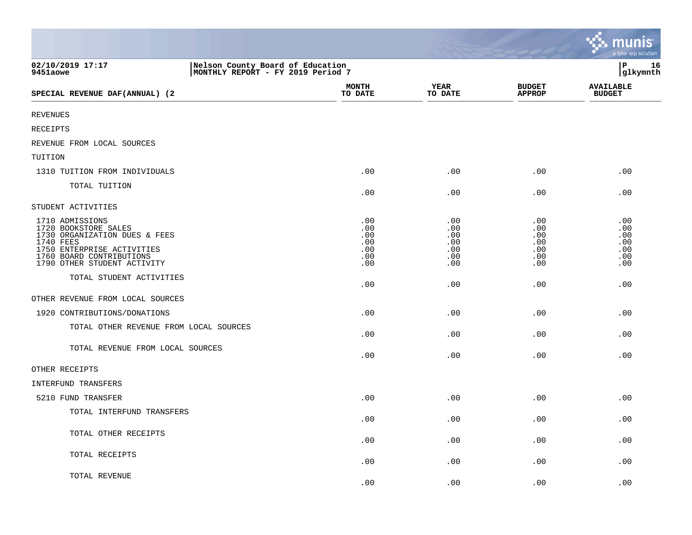|                                                                                                                                                                                |                                                                       |                                               |                                               |                                               | munis<br>a tyler erp solution                 |
|--------------------------------------------------------------------------------------------------------------------------------------------------------------------------------|-----------------------------------------------------------------------|-----------------------------------------------|-----------------------------------------------|-----------------------------------------------|-----------------------------------------------|
| 02/10/2019 17:17<br>9451aowe                                                                                                                                                   | Nelson County Board of Education<br>MONTHLY REPORT - FY 2019 Period 7 |                                               |                                               |                                               | lР<br>16<br> glkymnth                         |
| SPECIAL REVENUE DAF(ANNUAL) (2                                                                                                                                                 |                                                                       | <b>MONTH</b><br>TO DATE                       | <b>YEAR</b><br>TO DATE                        | <b>BUDGET</b><br><b>APPROP</b>                | <b>AVAILABLE</b><br><b>BUDGET</b>             |
| <b>REVENUES</b>                                                                                                                                                                |                                                                       |                                               |                                               |                                               |                                               |
| <b>RECEIPTS</b>                                                                                                                                                                |                                                                       |                                               |                                               |                                               |                                               |
| REVENUE FROM LOCAL SOURCES                                                                                                                                                     |                                                                       |                                               |                                               |                                               |                                               |
| TUITION                                                                                                                                                                        |                                                                       |                                               |                                               |                                               |                                               |
| 1310 TUITION FROM INDIVIDUALS                                                                                                                                                  |                                                                       | .00                                           | .00                                           | .00                                           | .00                                           |
| TOTAL TUITION                                                                                                                                                                  |                                                                       | .00                                           | .00                                           | .00                                           | .00                                           |
| STUDENT ACTIVITIES                                                                                                                                                             |                                                                       |                                               |                                               |                                               |                                               |
| 1710 ADMISSIONS<br>1720 BOOKSTORE SALES<br>1730 ORGANIZATION DUES & FEES<br>1740 FEES<br>1750 ENTERPRISE ACTIVITIES<br>1760 BOARD CONTRIBUTIONS<br>1790 OTHER STUDENT ACTIVITY |                                                                       | .00<br>.00<br>.00<br>.00<br>.00<br>.00<br>.00 | .00<br>.00<br>.00<br>.00<br>.00<br>.00<br>.00 | .00<br>.00<br>.00<br>.00<br>.00<br>.00<br>.00 | .00<br>.00<br>.00<br>.00<br>.00<br>.00<br>.00 |
| TOTAL STUDENT ACTIVITIES                                                                                                                                                       |                                                                       | .00                                           | .00                                           | .00                                           | .00                                           |
| OTHER REVENUE FROM LOCAL SOURCES                                                                                                                                               |                                                                       |                                               |                                               |                                               |                                               |
| 1920 CONTRIBUTIONS/DONATIONS                                                                                                                                                   |                                                                       | .00                                           | .00                                           | .00                                           | .00                                           |
| TOTAL OTHER REVENUE FROM LOCAL SOURCES                                                                                                                                         |                                                                       | .00                                           | .00                                           | .00                                           | .00                                           |
| TOTAL REVENUE FROM LOCAL SOURCES                                                                                                                                               |                                                                       | .00                                           | .00                                           | .00                                           | .00                                           |
| OTHER RECEIPTS                                                                                                                                                                 |                                                                       |                                               |                                               |                                               |                                               |
| INTERFUND TRANSFERS                                                                                                                                                            |                                                                       |                                               |                                               |                                               |                                               |
| 5210 FUND TRANSFER                                                                                                                                                             |                                                                       | .00                                           | .00                                           | .00                                           | .00                                           |
| TOTAL INTERFUND TRANSFERS                                                                                                                                                      |                                                                       | .00                                           | .00                                           | .00                                           | .00                                           |
| TOTAL OTHER RECEIPTS                                                                                                                                                           |                                                                       | .00                                           | .00                                           | .00                                           | .00                                           |
| TOTAL RECEIPTS                                                                                                                                                                 |                                                                       | .00                                           | .00                                           | .00                                           | .00                                           |
| TOTAL REVENUE                                                                                                                                                                  |                                                                       | .00                                           | .00                                           | .00                                           | .00                                           |

**The State**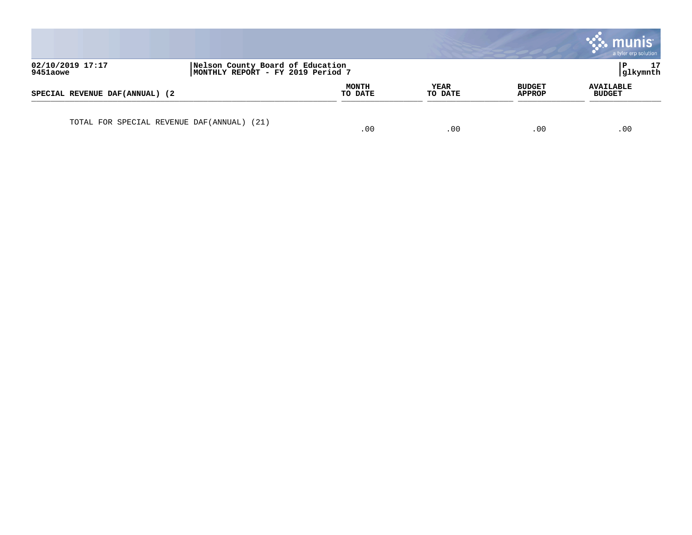|                                 |                                                                       |                         |                 |                                | a tyler erp solution              |
|---------------------------------|-----------------------------------------------------------------------|-------------------------|-----------------|--------------------------------|-----------------------------------|
| 02/10/2019 17:17<br>9451aowe    | Nelson County Board of Education<br>MONTHLY REPORT - FY 2019 Period 7 |                         |                 |                                | 17<br> glkymnth                   |
| SPECIAL REVENUE DAF(ANNUAL) (2) |                                                                       | <b>MONTH</b><br>TO DATE | YEAR<br>TO DATE | <b>BUDGET</b><br><b>APPROP</b> | <b>AVAILABLE</b><br><b>BUDGET</b> |
|                                 | TOTAL FOR SPECIAL REVENUE DAF(ANNUAL) (21)                            | .00                     | .00             | .00                            | .00                               |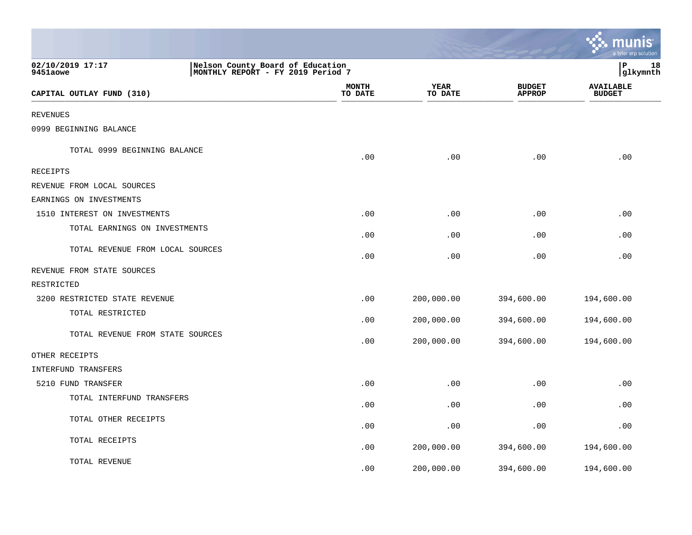|                                  |                                                                       |                        |                                | ः munis<br>a tyler erp solution   |
|----------------------------------|-----------------------------------------------------------------------|------------------------|--------------------------------|-----------------------------------|
| 02/10/2019 17:17<br>9451aowe     | Nelson County Board of Education<br>MONTHLY REPORT - FY 2019 Period 7 |                        |                                | l P<br>18<br> glkymnth            |
| CAPITAL OUTLAY FUND (310)        | <b>MONTH</b><br>TO DATE                                               | <b>YEAR</b><br>TO DATE | <b>BUDGET</b><br><b>APPROP</b> | <b>AVAILABLE</b><br><b>BUDGET</b> |
| REVENUES                         |                                                                       |                        |                                |                                   |
| 0999 BEGINNING BALANCE           |                                                                       |                        |                                |                                   |
| TOTAL 0999 BEGINNING BALANCE     | .00                                                                   | .00                    | .00                            | .00                               |
| RECEIPTS                         |                                                                       |                        |                                |                                   |
| REVENUE FROM LOCAL SOURCES       |                                                                       |                        |                                |                                   |
| EARNINGS ON INVESTMENTS          |                                                                       |                        |                                |                                   |
| 1510 INTEREST ON INVESTMENTS     | .00                                                                   | .00                    | .00                            | .00                               |
| TOTAL EARNINGS ON INVESTMENTS    | .00                                                                   | .00                    | .00                            | .00                               |
| TOTAL REVENUE FROM LOCAL SOURCES | .00                                                                   | .00                    | .00                            | .00                               |
| REVENUE FROM STATE SOURCES       |                                                                       |                        |                                |                                   |
| RESTRICTED                       |                                                                       |                        |                                |                                   |
| 3200 RESTRICTED STATE REVENUE    | .00                                                                   | 200,000.00             | 394,600.00                     | 194,600.00                        |
| TOTAL RESTRICTED                 | .00                                                                   | 200,000.00             | 394,600.00                     | 194,600.00                        |
| TOTAL REVENUE FROM STATE SOURCES | .00                                                                   | 200,000.00             | 394,600.00                     | 194,600.00                        |
| OTHER RECEIPTS                   |                                                                       |                        |                                |                                   |
| INTERFUND TRANSFERS              |                                                                       |                        |                                |                                   |
| 5210 FUND TRANSFER               | .00                                                                   | .00                    | .00                            | .00                               |
| TOTAL INTERFUND TRANSFERS        | .00                                                                   | .00                    | .00                            | .00                               |
| TOTAL OTHER RECEIPTS             | .00                                                                   | .00                    | .00                            | .00                               |
| TOTAL RECEIPTS                   | .00                                                                   | 200,000.00             | 394,600.00                     | 194,600.00                        |
| TOTAL REVENUE                    | .00                                                                   | 200,000.00             | 394,600.00                     | 194,600.00                        |

and the contract of the contract of the contract of the contract of the contract of the contract of the contract of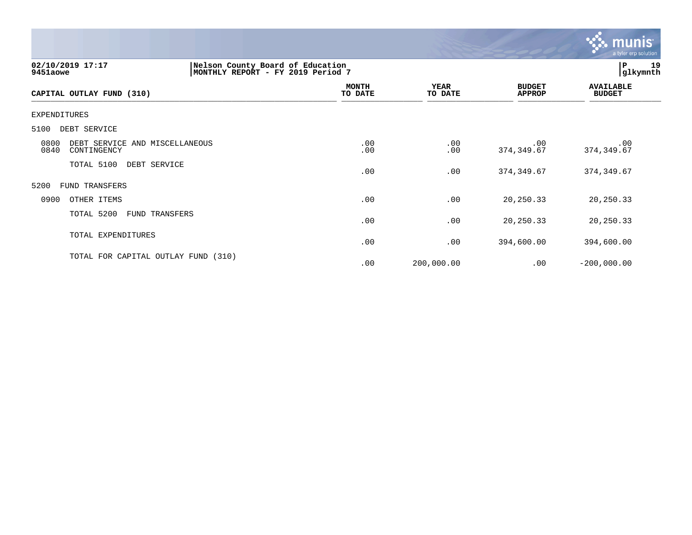

| 02/10/2019 17:17<br>9451aowe                                  |  | Nelson County Board of Education<br>MONTHLY REPORT - FY 2019 Period 7 |                        |                                | 19<br>${\bf P}$<br> glkymnth      |  |
|---------------------------------------------------------------|--|-----------------------------------------------------------------------|------------------------|--------------------------------|-----------------------------------|--|
| CAPITAL OUTLAY FUND (310)                                     |  | <b>MONTH</b><br>TO DATE                                               | <b>YEAR</b><br>TO DATE | <b>BUDGET</b><br><b>APPROP</b> | <b>AVAILABLE</b><br><b>BUDGET</b> |  |
| <b>EXPENDITURES</b>                                           |  |                                                                       |                        |                                |                                   |  |
| 5100<br>DEBT SERVICE                                          |  |                                                                       |                        |                                |                                   |  |
| 0800<br>DEBT SERVICE AND MISCELLANEOUS<br>0840<br>CONTINGENCY |  | .00<br>.00                                                            | .00<br>.00             | .00<br>374, 349.67             | .00<br>374, 349.67                |  |
| TOTAL 5100<br>DEBT SERVICE                                    |  | .00                                                                   | .00                    | 374, 349.67                    | 374,349.67                        |  |
| 5200<br>FUND TRANSFERS                                        |  |                                                                       |                        |                                |                                   |  |
| 0900<br>OTHER ITEMS                                           |  | .00                                                                   | .00                    | 20, 250. 33                    | 20,250.33                         |  |
| TOTAL 5200<br>FUND TRANSFERS                                  |  | .00                                                                   | .00                    | 20, 250. 33                    | 20,250.33                         |  |
| TOTAL EXPENDITURES                                            |  | .00                                                                   | .00                    | 394,600.00                     | 394,600.00                        |  |
| TOTAL FOR CAPITAL OUTLAY FUND (310)                           |  | .00                                                                   | 200,000.00             | .00                            | $-200,000.00$                     |  |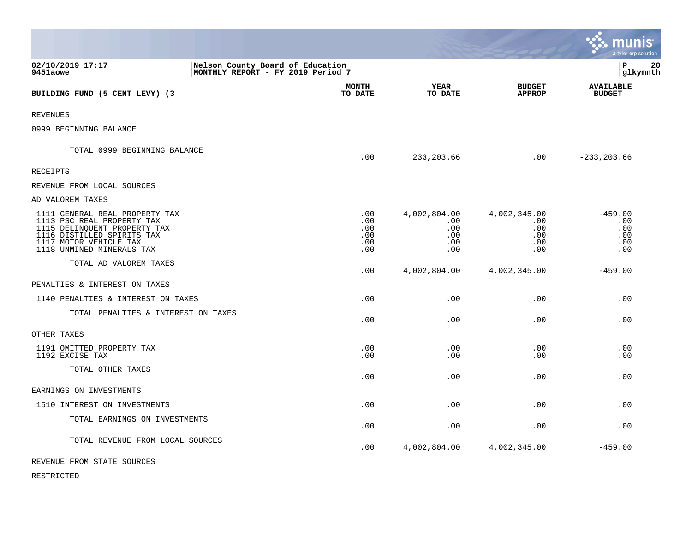|                                                                                                                                                                                   |                                                                       |                                                  |                                                           | munis<br>a tyler erp solution                |  |
|-----------------------------------------------------------------------------------------------------------------------------------------------------------------------------------|-----------------------------------------------------------------------|--------------------------------------------------|-----------------------------------------------------------|----------------------------------------------|--|
| 02/10/2019 17:17<br>9451aowe                                                                                                                                                      | Nelson County Board of Education<br>MONTHLY REPORT - FY 2019 Period 7 |                                                  |                                                           |                                              |  |
| BUILDING FUND (5 CENT LEVY) (3                                                                                                                                                    | MONTH<br>TO DATE                                                      | YEAR<br>TO DATE                                  | <b>BUDGET</b><br><b>APPROP</b>                            | <b>AVAILABLE</b><br><b>BUDGET</b>            |  |
| <b>REVENUES</b>                                                                                                                                                                   |                                                                       |                                                  |                                                           |                                              |  |
| 0999 BEGINNING BALANCE                                                                                                                                                            |                                                                       |                                                  |                                                           |                                              |  |
| TOTAL 0999 BEGINNING BALANCE                                                                                                                                                      | .00                                                                   | 233, 203.66                                      | .00                                                       | $-233, 203.66$                               |  |
| RECEIPTS                                                                                                                                                                          |                                                                       |                                                  |                                                           |                                              |  |
| REVENUE FROM LOCAL SOURCES                                                                                                                                                        |                                                                       |                                                  |                                                           |                                              |  |
| AD VALOREM TAXES                                                                                                                                                                  |                                                                       |                                                  |                                                           |                                              |  |
| 1111 GENERAL REAL PROPERTY TAX<br>1113 PSC REAL PROPERTY TAX<br>1115 DELINQUENT PROPERTY TAX<br>1116 DISTILLED SPIRITS TAX<br>1117 MOTOR VEHICLE TAX<br>1118 UNMINED MINERALS TAX | .00<br>.00<br>.00<br>.00<br>.00<br>.00                                | 4,002,804.00<br>.00.<br>.00<br>.00<br>.00<br>.00 | 4,002,345.00<br>$.00 \,$<br>.00<br>.00<br>.00<br>$.00 \,$ | $-459.00$<br>.00<br>.00<br>.00<br>.00<br>.00 |  |
| TOTAL AD VALOREM TAXES                                                                                                                                                            | .00                                                                   | 4,002,804.00                                     | 4,002,345.00                                              | $-459.00$                                    |  |
| PENALTIES & INTEREST ON TAXES                                                                                                                                                     |                                                                       |                                                  |                                                           |                                              |  |
| 1140 PENALTIES & INTEREST ON TAXES                                                                                                                                                | .00                                                                   | .00                                              | .00                                                       | .00                                          |  |
| TOTAL PENALTIES & INTEREST ON TAXES                                                                                                                                               | .00                                                                   | .00                                              | .00                                                       | .00                                          |  |
| OTHER TAXES                                                                                                                                                                       |                                                                       |                                                  |                                                           |                                              |  |
| 1191 OMITTED PROPERTY TAX<br>1192 EXCISE TAX                                                                                                                                      | .00<br>.00                                                            | .00<br>.00                                       | .00<br>.00                                                | .00<br>.00                                   |  |
| TOTAL OTHER TAXES                                                                                                                                                                 | .00                                                                   | .00                                              | .00                                                       | .00                                          |  |
| EARNINGS ON INVESTMENTS                                                                                                                                                           |                                                                       |                                                  |                                                           |                                              |  |
| 1510 INTEREST ON INVESTMENTS                                                                                                                                                      | .00                                                                   | .00                                              | .00                                                       | .00                                          |  |
| TOTAL EARNINGS ON INVESTMENTS                                                                                                                                                     | .00                                                                   | .00                                              | .00                                                       | .00                                          |  |
| TOTAL REVENUE FROM LOCAL SOURCES                                                                                                                                                  | .00                                                                   | 4,002,804.00                                     | 4,002,345.00                                              | $-459.00$                                    |  |
| REVENUE FROM STATE SOURCES                                                                                                                                                        |                                                                       |                                                  |                                                           |                                              |  |

RESTRICTED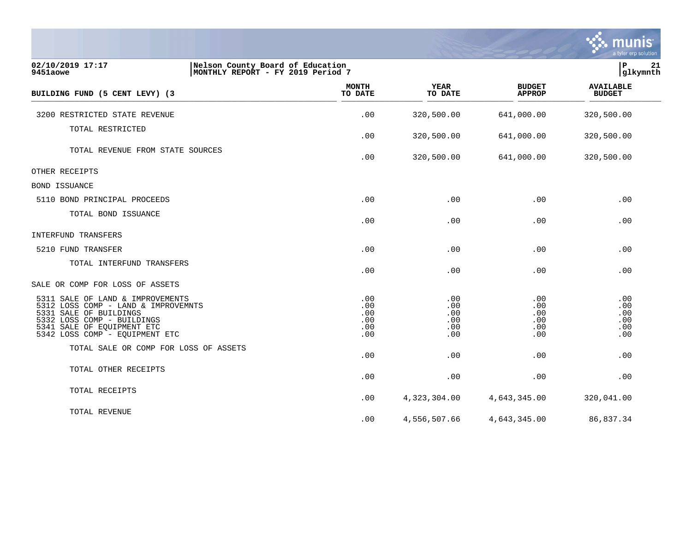|                                                                                                                                                                                                 |                                                                       |                                        |                                        |                                        | $\overline{\mathsf{m}}$ unis<br>a tyler erp solution |
|-------------------------------------------------------------------------------------------------------------------------------------------------------------------------------------------------|-----------------------------------------------------------------------|----------------------------------------|----------------------------------------|----------------------------------------|------------------------------------------------------|
| 02/10/2019 17:17<br>9451aowe                                                                                                                                                                    | Nelson County Board of Education<br>MONTHLY REPORT - FY 2019 Period 7 |                                        |                                        |                                        | lР<br>21<br>glkymnth                                 |
| BUILDING FUND (5 CENT LEVY) (3                                                                                                                                                                  |                                                                       | <b>MONTH</b><br>TO DATE                | <b>YEAR</b><br>TO DATE                 | <b>BUDGET</b><br><b>APPROP</b>         | <b>AVAILABLE</b><br><b>BUDGET</b>                    |
| 3200 RESTRICTED STATE REVENUE                                                                                                                                                                   |                                                                       | .00                                    | 320,500.00                             | 641,000.00                             | 320,500.00                                           |
| TOTAL RESTRICTED                                                                                                                                                                                |                                                                       | .00                                    | 320,500.00                             | 641,000.00                             | 320,500.00                                           |
| TOTAL REVENUE FROM STATE SOURCES                                                                                                                                                                |                                                                       | .00                                    | 320,500.00                             | 641,000.00                             | 320,500.00                                           |
| OTHER RECEIPTS                                                                                                                                                                                  |                                                                       |                                        |                                        |                                        |                                                      |
| <b>BOND ISSUANCE</b>                                                                                                                                                                            |                                                                       |                                        |                                        |                                        |                                                      |
| 5110 BOND PRINCIPAL PROCEEDS                                                                                                                                                                    |                                                                       | .00                                    | .00                                    | .00                                    | .00                                                  |
| TOTAL BOND ISSUANCE                                                                                                                                                                             |                                                                       | .00                                    | .00                                    | .00                                    | .00                                                  |
| INTERFUND TRANSFERS                                                                                                                                                                             |                                                                       |                                        |                                        |                                        |                                                      |
| 5210 FUND TRANSFER                                                                                                                                                                              |                                                                       | .00                                    | .00                                    | .00                                    | .00                                                  |
| TOTAL INTERFUND TRANSFERS                                                                                                                                                                       |                                                                       | .00                                    | .00                                    | .00                                    | .00                                                  |
| SALE OR COMP FOR LOSS OF ASSETS                                                                                                                                                                 |                                                                       |                                        |                                        |                                        |                                                      |
| 5311 SALE OF LAND & IMPROVEMENTS<br>5312 LOSS COMP - LAND & IMPROVEMNTS<br>5331 SALE OF BUILDINGS<br>5332 LOSS COMP - BUILDINGS<br>5341 SALE OF EQUIPMENT ETC<br>5342 LOSS COMP - EQUIPMENT ETC |                                                                       | .00<br>.00<br>.00<br>.00<br>.00<br>.00 | .00<br>.00<br>.00<br>.00<br>.00<br>.00 | .00<br>.00<br>.00<br>.00<br>.00<br>.00 | .00<br>.00<br>.00<br>.00<br>.00<br>.00               |
| TOTAL SALE OR COMP FOR LOSS OF ASSETS                                                                                                                                                           |                                                                       | .00                                    | .00                                    | .00                                    | .00                                                  |
| TOTAL OTHER RECEIPTS                                                                                                                                                                            |                                                                       | .00                                    | .00                                    | .00                                    | .00                                                  |
| TOTAL RECEIPTS                                                                                                                                                                                  |                                                                       | .00                                    | 4,323,304.00                           | 4,643,345.00                           | 320,041.00                                           |
| TOTAL REVENUE                                                                                                                                                                                   |                                                                       | .00                                    | 4,556,507.66                           | 4,643,345.00                           | 86,837.34                                            |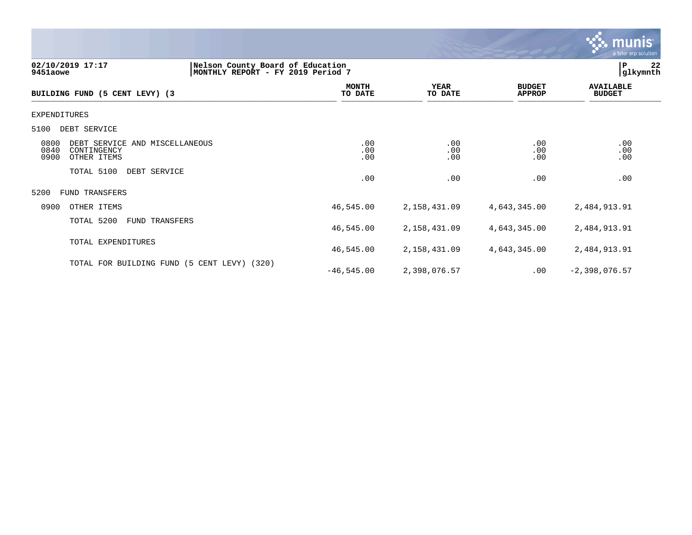

#### **02/10/2019 17:17 |Nelson County Board of Education |P 22 9451aowe |MONTHLY REPORT - FY 2019 Period 7 |glkymnth**

| BUILDING FUND (5 CENT LEVY) (3                                                       | <b>MONTH</b><br>TO DATE | <b>YEAR</b><br>TO DATE | <b>BUDGET</b><br><b>APPROP</b> | <b>AVAILABLE</b><br><b>BUDGET</b> |
|--------------------------------------------------------------------------------------|-------------------------|------------------------|--------------------------------|-----------------------------------|
| EXPENDITURES                                                                         |                         |                        |                                |                                   |
| 5100<br>DEBT SERVICE                                                                 |                         |                        |                                |                                   |
| 0800<br>DEBT SERVICE AND MISCELLANEOUS<br>0840<br>CONTINGENCY<br>0900<br>OTHER ITEMS | .00<br>.00<br>.00       | .00<br>.00<br>.00      | .00<br>.00<br>.00              | .00<br>.00<br>.00                 |
| TOTAL 5100<br>DEBT SERVICE                                                           | .00                     | .00                    | .00                            | .00                               |
| 5200<br>FUND TRANSFERS                                                               |                         |                        |                                |                                   |
| 0900<br>OTHER ITEMS                                                                  | 46,545.00               | 2,158,431.09           | 4,643,345.00                   | 2,484,913.91                      |
| TOTAL 5200<br>FUND TRANSFERS                                                         | 46,545.00               | 2,158,431.09           | 4,643,345.00                   | 2,484,913.91                      |
| TOTAL EXPENDITURES                                                                   | 46,545.00               | 2,158,431.09           | 4,643,345.00                   | 2,484,913.91                      |
| TOTAL FOR BUILDING FUND (5 CENT LEVY)<br>(320)                                       | $-46, 545.00$           | 2,398,076.57           | .00                            | $-2,398,076.57$                   |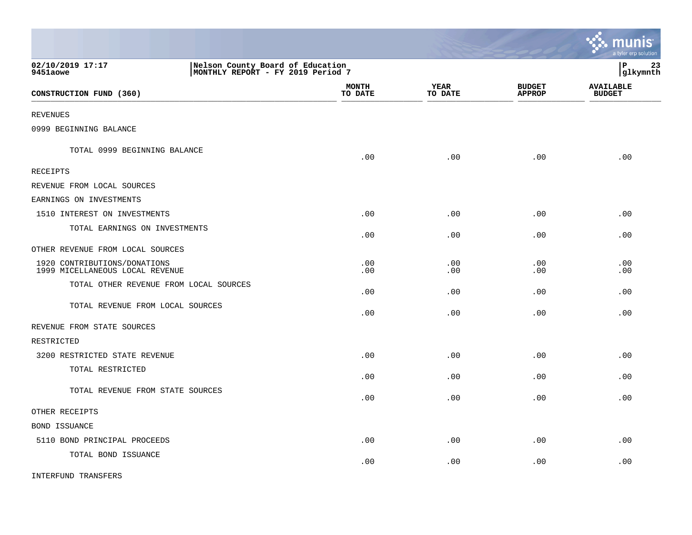|                                                                 |                                                                       |                 |                                | <u>munis</u><br>a tyler erp solution |
|-----------------------------------------------------------------|-----------------------------------------------------------------------|-----------------|--------------------------------|--------------------------------------|
| 02/10/2019 17:17<br>9451aowe                                    | Nelson County Board of Education<br>MONTHLY REPORT - FY 2019 Period 7 |                 |                                | l P<br>23<br>glkymnth                |
| CONSTRUCTION FUND (360)                                         | <b>MONTH</b><br>TO DATE                                               | YEAR<br>TO DATE | <b>BUDGET</b><br><b>APPROP</b> | <b>AVAILABLE</b><br><b>BUDGET</b>    |
| <b>REVENUES</b>                                                 |                                                                       |                 |                                |                                      |
| 0999 BEGINNING BALANCE                                          |                                                                       |                 |                                |                                      |
| TOTAL 0999 BEGINNING BALANCE                                    | .00                                                                   | .00             | .00                            | .00                                  |
| RECEIPTS                                                        |                                                                       |                 |                                |                                      |
| REVENUE FROM LOCAL SOURCES                                      |                                                                       |                 |                                |                                      |
| EARNINGS ON INVESTMENTS                                         |                                                                       |                 |                                |                                      |
| 1510 INTEREST ON INVESTMENTS                                    | .00                                                                   | .00             | .00                            | .00                                  |
| TOTAL EARNINGS ON INVESTMENTS                                   | .00                                                                   | .00             | .00                            | .00                                  |
| OTHER REVENUE FROM LOCAL SOURCES                                |                                                                       |                 |                                |                                      |
| 1920 CONTRIBUTIONS/DONATIONS<br>1999 MICELLANEOUS LOCAL REVENUE | .00<br>.00                                                            | .00<br>.00      | .00<br>.00                     | .00<br>.00                           |
| TOTAL OTHER REVENUE FROM LOCAL SOURCES                          | .00                                                                   | .00             | .00                            | .00                                  |
| TOTAL REVENUE FROM LOCAL SOURCES                                | .00                                                                   | .00             | .00                            | .00                                  |
| REVENUE FROM STATE SOURCES                                      |                                                                       |                 |                                |                                      |
| RESTRICTED                                                      |                                                                       |                 |                                |                                      |
| 3200 RESTRICTED STATE REVENUE                                   | .00                                                                   | .00             | .00                            | .00                                  |
| TOTAL RESTRICTED                                                | .00                                                                   | .00             | .00                            | .00                                  |
| TOTAL REVENUE FROM STATE SOURCES                                | .00                                                                   | .00             | .00                            | .00                                  |
| OTHER RECEIPTS                                                  |                                                                       |                 |                                |                                      |
| BOND ISSUANCE                                                   |                                                                       |                 |                                |                                      |
| 5110 BOND PRINCIPAL PROCEEDS                                    | .00                                                                   | .00             | .00                            | .00                                  |
| TOTAL BOND ISSUANCE                                             | .00                                                                   | .00             | .00                            | .00                                  |
| <b>INTERFUND TRANSFERS</b>                                      |                                                                       |                 |                                |                                      |

 $\mathcal{L}$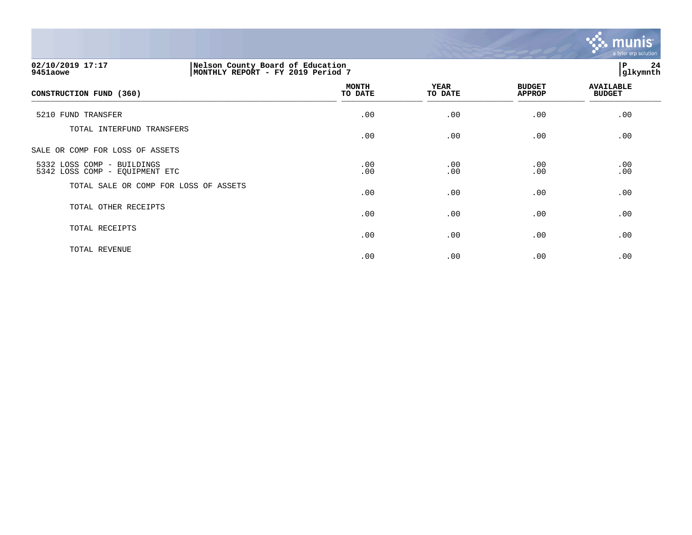

| 02/10/2019 17:17<br>9451aowe                                 | Nelson County Board of Education<br>MONTHLY REPORT - FY 2019 Period 7 |                         |                 |                                |                                   | 24<br>glkymnth |  |
|--------------------------------------------------------------|-----------------------------------------------------------------------|-------------------------|-----------------|--------------------------------|-----------------------------------|----------------|--|
| CONSTRUCTION FUND (360)                                      |                                                                       | <b>MONTH</b><br>TO DATE | YEAR<br>TO DATE | <b>BUDGET</b><br><b>APPROP</b> | <b>AVAILABLE</b><br><b>BUDGET</b> |                |  |
| 5210 FUND TRANSFER                                           |                                                                       | .00                     | .00             | .00                            | .00                               |                |  |
| TOTAL INTERFUND TRANSFERS                                    |                                                                       | .00                     | .00             | .00                            | .00                               |                |  |
| SALE OR COMP FOR LOSS OF ASSETS                              |                                                                       |                         |                 |                                |                                   |                |  |
| 5332 LOSS COMP - BUILDINGS<br>5342 LOSS COMP - EQUIPMENT ETC |                                                                       | .00<br>.00              | .00<br>.00      | .00<br>.00                     | .00<br>.00                        |                |  |
| TOTAL SALE OR COMP FOR LOSS OF ASSETS                        |                                                                       | .00                     | .00             | .00                            | .00                               |                |  |
| TOTAL OTHER RECEIPTS                                         |                                                                       | .00                     | .00             | .00                            | .00                               |                |  |
| TOTAL RECEIPTS                                               |                                                                       | .00                     | .00             | .00                            | .00                               |                |  |
| TOTAL REVENUE                                                |                                                                       | .00                     | .00             | .00                            | .00                               |                |  |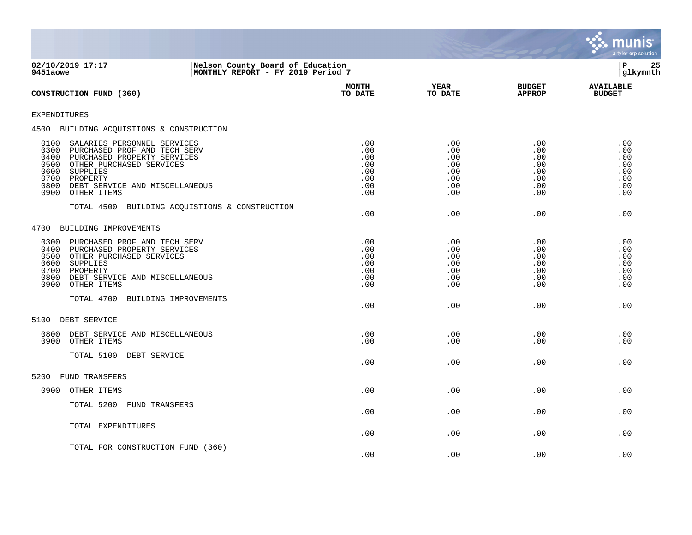

| 02/10/2019 17:17<br>Nelson County Board of Education<br>MONTHLY REPORT - FY 2019 Period 7<br>9451aowe                                                                                                                                                           |                                                           | lР<br>25<br>glkymnth                                      |                                                              |                                                      |
|-----------------------------------------------------------------------------------------------------------------------------------------------------------------------------------------------------------------------------------------------------------------|-----------------------------------------------------------|-----------------------------------------------------------|--------------------------------------------------------------|------------------------------------------------------|
| CONSTRUCTION FUND (360)                                                                                                                                                                                                                                         | <b>MONTH</b><br>TO DATE                                   | <b>YEAR</b><br>TO DATE                                    | <b>BUDGET</b><br><b>APPROP</b>                               | <b>AVAILABLE</b><br><b>BUDGET</b>                    |
| EXPENDITURES                                                                                                                                                                                                                                                    |                                                           |                                                           |                                                              |                                                      |
| 4500 BUILDING ACQUISTIONS & CONSTRUCTION                                                                                                                                                                                                                        |                                                           |                                                           |                                                              |                                                      |
| SALARIES PERSONNEL SERVICES<br>0100<br>0300<br>PURCHASED PROF AND TECH SERV<br>0400<br>PURCHASED PROPERTY SERVICES<br>OTHER PURCHASED SERVICES<br>0500<br>0600<br>SUPPLIES<br>0700<br>PROPERTY<br>0800<br>DEBT SERVICE AND MISCELLANEOUS<br>0900<br>OTHER ITEMS | .00<br>.00<br>.00<br>.00<br>$.00 \,$<br>.00<br>.00<br>.00 | .00<br>.00<br>.00<br>.00<br>$.00 \,$<br>.00<br>.00<br>.00 | .00<br>.00<br>.00<br>.00<br>$.00 \ \rm$<br>.00<br>.00<br>.00 | .00<br>.00<br>.00<br>.00<br>.00<br>.00<br>.00<br>.00 |
| TOTAL 4500 BUILDING ACQUISTIONS & CONSTRUCTION                                                                                                                                                                                                                  | .00                                                       | .00                                                       | .00                                                          | .00                                                  |
| 4700<br>BUILDING IMPROVEMENTS                                                                                                                                                                                                                                   |                                                           |                                                           |                                                              |                                                      |
| 0300<br>PURCHASED PROF AND TECH SERV<br>0400<br>PURCHASED PROPERTY SERVICES<br>0500<br>OTHER PURCHASED SERVICES<br>0600<br>SUPPLIES<br>0700<br>PROPERTY<br>0800<br>DEBT SERVICE AND MISCELLANEOUS<br>0900<br>OTHER ITEMS                                        | .00<br>.00<br>.00<br>.00<br>.00<br>.00<br>.00             | .00<br>.00<br>.00<br>.00<br>.00<br>$.00 \,$<br>.00        | .00<br>.00<br>.00<br>.00<br>.00<br>$.00 \,$<br>.00           | .00<br>.00<br>.00<br>.00<br>.00<br>.00<br>.00        |
| TOTAL 4700<br>BUILDING IMPROVEMENTS                                                                                                                                                                                                                             | .00                                                       | .00                                                       | .00                                                          | .00                                                  |
| 5100<br>DEBT SERVICE                                                                                                                                                                                                                                            |                                                           |                                                           |                                                              |                                                      |
| 0800<br>DEBT SERVICE AND MISCELLANEOUS<br>0900<br>OTHER ITEMS                                                                                                                                                                                                   | .00<br>.00                                                | .00<br>.00                                                | .00<br>.00                                                   | .00<br>.00                                           |
| TOTAL 5100 DEBT SERVICE                                                                                                                                                                                                                                         | .00                                                       | .00                                                       | .00                                                          | .00                                                  |
| 5200<br>FUND TRANSFERS                                                                                                                                                                                                                                          |                                                           |                                                           |                                                              |                                                      |
| OTHER ITEMS<br>0900                                                                                                                                                                                                                                             | .00                                                       | .00                                                       | .00                                                          | .00                                                  |
| TOTAL 5200<br>FUND TRANSFERS                                                                                                                                                                                                                                    | .00                                                       | .00                                                       | .00                                                          | .00                                                  |
| TOTAL EXPENDITURES                                                                                                                                                                                                                                              | .00                                                       | .00                                                       | .00                                                          | .00                                                  |
| TOTAL FOR CONSTRUCTION FUND (360)                                                                                                                                                                                                                               | .00                                                       | .00                                                       | .00                                                          | .00                                                  |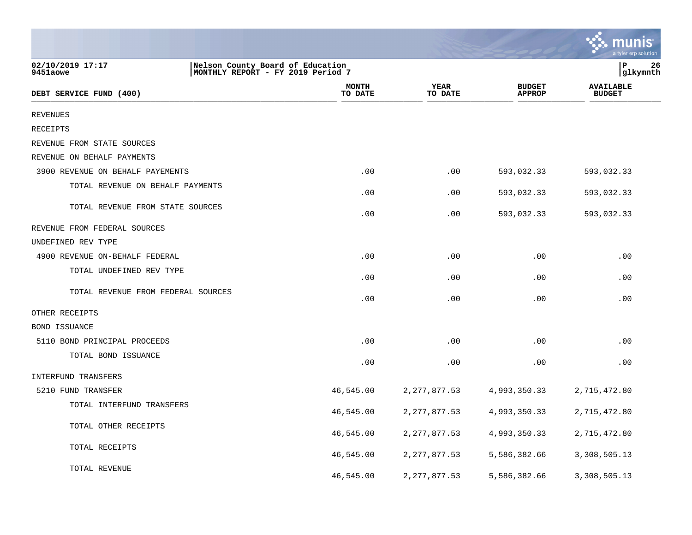|                                    |                                                                       |                        |                                | <u>େ munis</u><br>a tyler erp solution |
|------------------------------------|-----------------------------------------------------------------------|------------------------|--------------------------------|----------------------------------------|
| 02/10/2019 17:17<br>9451aowe       | Nelson County Board of Education<br>MONTHLY REPORT - FY 2019 Period 7 |                        |                                | l P<br>26<br> glkymnth                 |
| DEBT SERVICE FUND (400)            | <b>MONTH</b><br>TO DATE                                               | <b>YEAR</b><br>TO DATE | <b>BUDGET</b><br><b>APPROP</b> | <b>AVAILABLE</b><br><b>BUDGET</b>      |
| <b>REVENUES</b>                    |                                                                       |                        |                                |                                        |
| RECEIPTS                           |                                                                       |                        |                                |                                        |
| REVENUE FROM STATE SOURCES         |                                                                       |                        |                                |                                        |
| REVENUE ON BEHALF PAYMENTS         |                                                                       |                        |                                |                                        |
| 3900 REVENUE ON BEHALF PAYEMENTS   | .00                                                                   | .00                    | 593,032.33                     | 593,032.33                             |
| TOTAL REVENUE ON BEHALF PAYMENTS   | .00                                                                   | .00                    | 593,032.33                     | 593,032.33                             |
| TOTAL REVENUE FROM STATE SOURCES   | .00                                                                   | .00                    | 593,032.33                     | 593,032.33                             |
| REVENUE FROM FEDERAL SOURCES       |                                                                       |                        |                                |                                        |
| UNDEFINED REV TYPE                 |                                                                       |                        |                                |                                        |
| 4900 REVENUE ON-BEHALF FEDERAL     | .00                                                                   | .00                    | .00                            | .00                                    |
| TOTAL UNDEFINED REV TYPE           | .00                                                                   | .00                    | .00                            | .00                                    |
| TOTAL REVENUE FROM FEDERAL SOURCES | .00                                                                   | .00                    | .00                            | .00                                    |
| OTHER RECEIPTS                     |                                                                       |                        |                                |                                        |
| BOND ISSUANCE                      |                                                                       |                        |                                |                                        |
| 5110 BOND PRINCIPAL PROCEEDS       | .00                                                                   | .00                    | .00                            | .00                                    |
| TOTAL BOND ISSUANCE                | .00                                                                   | .00                    | .00                            | .00                                    |
| INTERFUND TRANSFERS                |                                                                       |                        |                                |                                        |
| 5210 FUND TRANSFER                 | 46,545.00                                                             | 2, 277, 877.53         | 4,993,350.33                   | 2,715,472.80                           |
| TOTAL INTERFUND TRANSFERS          | 46,545.00                                                             | 2, 277, 877.53         | 4,993,350.33                   | 2,715,472.80                           |
| TOTAL OTHER RECEIPTS               | 46,545.00                                                             | 2, 277, 877.53         | 4,993,350.33                   | 2,715,472.80                           |
| TOTAL RECEIPTS                     | 46,545.00                                                             | 2, 277, 877.53         | 5,586,382.66                   | 3,308,505.13                           |
| TOTAL REVENUE                      | 46,545.00                                                             | 2, 277, 877.53         | 5,586,382.66                   | 3,308,505.13                           |

and the contract of the contract of the contract of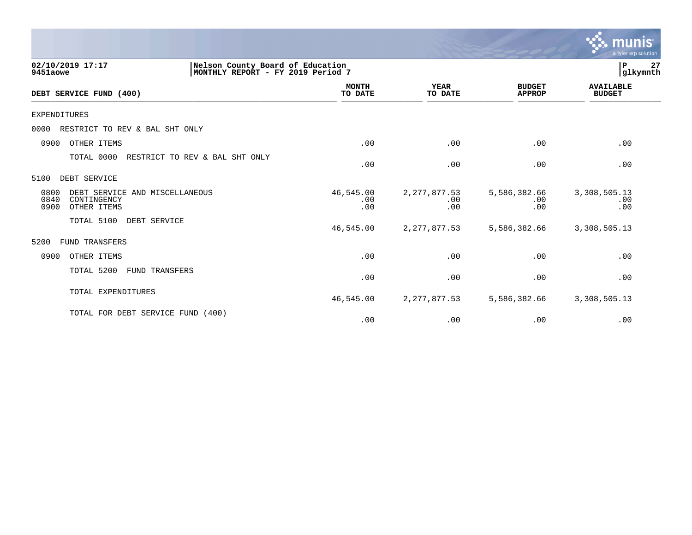|                                                                                                       |                         |                              |                                | <b>munis</b><br>a tyler erp solution |
|-------------------------------------------------------------------------------------------------------|-------------------------|------------------------------|--------------------------------|--------------------------------------|
| Nelson County Board of Education<br>02/10/2019 17:17<br>9451aowe<br>MONTHLY REPORT - FY 2019 Period 7 |                         |                              |                                | 27<br>P<br>glkymnth                  |
| DEBT SERVICE FUND (400)                                                                               | <b>MONTH</b><br>TO DATE | YEAR<br>TO DATE              | <b>BUDGET</b><br><b>APPROP</b> | <b>AVAILABLE</b><br><b>BUDGET</b>    |
| EXPENDITURES                                                                                          |                         |                              |                                |                                      |
| 0000<br>RESTRICT TO REV & BAL SHT ONLY                                                                |                         |                              |                                |                                      |
| 0900<br>OTHER ITEMS                                                                                   | .00                     | .00                          | .00                            | .00                                  |
| TOTAL 0000<br>RESTRICT TO REV & BAL SHT ONLY                                                          | .00                     | .00                          | .00                            | .00                                  |
| DEBT SERVICE<br>5100                                                                                  |                         |                              |                                |                                      |
| 0800<br>DEBT SERVICE AND MISCELLANEOUS<br>0840<br>CONTINGENCY<br>0900<br>OTHER ITEMS                  | 46,545.00<br>.00<br>.00 | 2, 277, 877.53<br>.00<br>.00 | 5,586,382.66<br>.00<br>.00     | 3,308,505.13<br>.00<br>.00           |
| TOTAL 5100<br>DEBT SERVICE                                                                            | 46,545.00               | 2, 277, 877.53               | 5,586,382.66                   | 3,308,505.13                         |
| 5200<br><b>FUND TRANSFERS</b>                                                                         |                         |                              |                                |                                      |
| 0900<br>OTHER ITEMS                                                                                   | .00                     | .00                          | .00                            | .00                                  |
| TOTAL 5200<br><b>FUND TRANSFERS</b>                                                                   | .00                     | .00                          | .00                            | .00                                  |
| TOTAL EXPENDITURES                                                                                    | 46,545.00               | 2, 277, 877.53               | 5,586,382.66                   | 3,308,505.13                         |
| TOTAL FOR DEBT SERVICE FUND<br>(400)                                                                  | .00                     | .00                          | .00                            | .00                                  |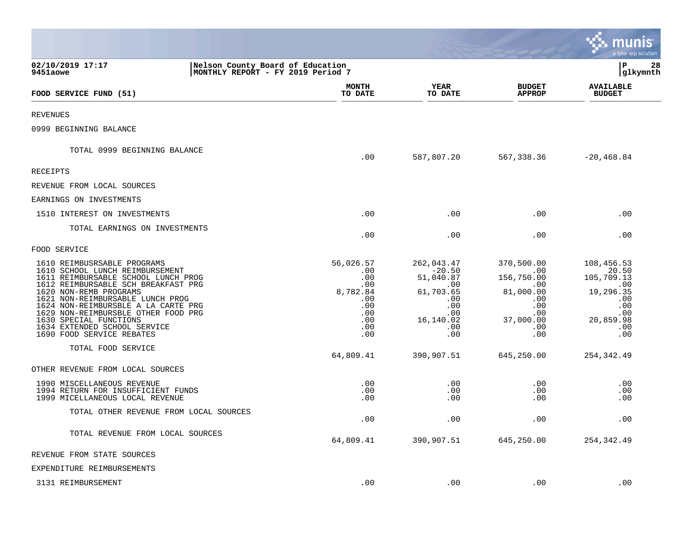|                                                                                                                                                                                                                                                                                                                                                                                 |                                                                                      |                                                                                                         |                                                                                                          | munis<br>a tyler erp solution                                                                         |
|---------------------------------------------------------------------------------------------------------------------------------------------------------------------------------------------------------------------------------------------------------------------------------------------------------------------------------------------------------------------------------|--------------------------------------------------------------------------------------|---------------------------------------------------------------------------------------------------------|----------------------------------------------------------------------------------------------------------|-------------------------------------------------------------------------------------------------------|
| 02/10/2019 17:17<br>Nelson County Board of Education<br>MONTHLY REPORT - FY 2019 Period 7<br>9451aowe                                                                                                                                                                                                                                                                           |                                                                                      |                                                                                                         |                                                                                                          | lР<br>28<br> glkymnth                                                                                 |
| FOOD SERVICE FUND (51)                                                                                                                                                                                                                                                                                                                                                          | MONTH<br>TO DATE                                                                     | YEAR<br>TO DATE                                                                                         | <b>BUDGET</b><br><b>APPROP</b>                                                                           | <b>AVAILABLE</b><br><b>BUDGET</b>                                                                     |
| <b>REVENUES</b>                                                                                                                                                                                                                                                                                                                                                                 |                                                                                      |                                                                                                         |                                                                                                          |                                                                                                       |
| 0999 BEGINNING BALANCE                                                                                                                                                                                                                                                                                                                                                          |                                                                                      |                                                                                                         |                                                                                                          |                                                                                                       |
| TOTAL 0999 BEGINNING BALANCE                                                                                                                                                                                                                                                                                                                                                    | .00                                                                                  | 587,807.20                                                                                              | 567,338.36                                                                                               | $-20, 468.84$                                                                                         |
| RECEIPTS                                                                                                                                                                                                                                                                                                                                                                        |                                                                                      |                                                                                                         |                                                                                                          |                                                                                                       |
| REVENUE FROM LOCAL SOURCES                                                                                                                                                                                                                                                                                                                                                      |                                                                                      |                                                                                                         |                                                                                                          |                                                                                                       |
| EARNINGS ON INVESTMENTS                                                                                                                                                                                                                                                                                                                                                         |                                                                                      |                                                                                                         |                                                                                                          |                                                                                                       |
| 1510 INTEREST ON INVESTMENTS                                                                                                                                                                                                                                                                                                                                                    | .00                                                                                  | .00                                                                                                     | .00                                                                                                      | .00                                                                                                   |
| TOTAL EARNINGS ON INVESTMENTS                                                                                                                                                                                                                                                                                                                                                   | .00                                                                                  | .00                                                                                                     | .00                                                                                                      | .00                                                                                                   |
| FOOD SERVICE                                                                                                                                                                                                                                                                                                                                                                    |                                                                                      |                                                                                                         |                                                                                                          |                                                                                                       |
| 1610 REIMBUSRSABLE PROGRAMS<br>1610 SCHOOL LUNCH REIMBURSEMENT<br>1611 REIMBURSABLE SCHOOL LUNCH PROG<br>1612 REIMBURSABLE SCH BREAKFAST PRG<br>1620 NON-REMB PROGRAMS<br>1621 NON-REIMBURSABLE LUNCH PROG<br>1624 NON-REIMBURSBLE A LA CARTE PRG<br>1629 NON-REIMBURSBLE OTHER FOOD PRG<br>1630 SPECIAL FUNCTIONS<br>1634 EXTENDED SCHOOL SERVICE<br>1690 FOOD SERVICE REBATES | 56,026.57<br>.00<br>.00<br>.00<br>8,782.84<br>.00<br>.00<br>.00<br>.00<br>.00<br>.00 | 262,043.47<br>$-20.50$<br>51,040.87<br>.00<br>61,703.65<br>.00<br>.00<br>.00<br>16,140.02<br>.00<br>.00 | 370,500.00<br>.00<br>156,750.00<br>.00<br>81,000.00<br>.00<br>.00<br>$.00 \,$<br>37,000.00<br>.00<br>.00 | 108,456.53<br>20.50<br>105,709.13<br>.00<br>19,296.35<br>.00<br>.00<br>.00<br>20,859.98<br>.00<br>.00 |
| TOTAL FOOD SERVICE                                                                                                                                                                                                                                                                                                                                                              | 64,809.41                                                                            | 390,907.51                                                                                              | 645,250.00                                                                                               | 254,342.49                                                                                            |
| OTHER REVENUE FROM LOCAL SOURCES                                                                                                                                                                                                                                                                                                                                                |                                                                                      |                                                                                                         |                                                                                                          |                                                                                                       |
| 1990 MISCELLANEOUS REVENUE<br>1994 RETURN FOR INSUFFICIENT FUNDS<br>1999 MICELLANEOUS LOCAL REVENUE                                                                                                                                                                                                                                                                             | .00<br>.00<br>.00                                                                    | .00<br>.00<br>.00                                                                                       | .00<br>.00<br>.00                                                                                        | .00<br>.00<br>.00                                                                                     |
| TOTAL OTHER REVENUE FROM LOCAL SOURCES                                                                                                                                                                                                                                                                                                                                          | .00                                                                                  | .00                                                                                                     | .00                                                                                                      | .00                                                                                                   |
| TOTAL REVENUE FROM LOCAL SOURCES                                                                                                                                                                                                                                                                                                                                                | 64,809.41                                                                            | 390,907.51                                                                                              | 645,250.00                                                                                               | 254,342.49                                                                                            |
| REVENUE FROM STATE SOURCES                                                                                                                                                                                                                                                                                                                                                      |                                                                                      |                                                                                                         |                                                                                                          |                                                                                                       |
| EXPENDITURE REIMBURSEMENTS                                                                                                                                                                                                                                                                                                                                                      |                                                                                      |                                                                                                         |                                                                                                          |                                                                                                       |
| 3131 REIMBURSEMENT                                                                                                                                                                                                                                                                                                                                                              | .00                                                                                  | .00                                                                                                     | .00                                                                                                      | .00                                                                                                   |

**Contract Contract Contract Contract Contract Contract Contract Contract Contract Contract Contract Contract Co**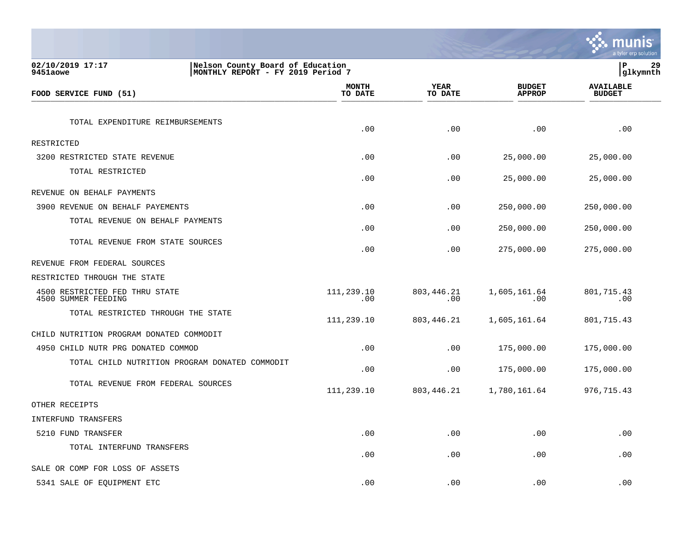|                                                                                                       |                         |                        |                                | a tyler erp solution              |
|-------------------------------------------------------------------------------------------------------|-------------------------|------------------------|--------------------------------|-----------------------------------|
| 02/10/2019 17:17<br>Nelson County Board of Education<br>MONTHLY REPORT - FY 2019 Period 7<br>9451aowe |                         |                        |                                | lР<br>29<br> glkymnth             |
| FOOD SERVICE FUND (51)                                                                                | <b>MONTH</b><br>TO DATE | <b>YEAR</b><br>TO DATE | <b>BUDGET</b><br><b>APPROP</b> | <b>AVAILABLE</b><br><b>BUDGET</b> |
| TOTAL EXPENDITURE REIMBURSEMENTS                                                                      | .00                     | .00                    | .00                            | .00                               |
| RESTRICTED                                                                                            |                         |                        |                                |                                   |
| 3200 RESTRICTED STATE REVENUE                                                                         | .00                     | .00                    | 25,000.00                      | 25,000.00                         |
| TOTAL RESTRICTED                                                                                      | .00                     | .00                    | 25,000.00                      | 25,000.00                         |
| REVENUE ON BEHALF PAYMENTS                                                                            |                         |                        |                                |                                   |
| 3900 REVENUE ON BEHALF PAYEMENTS                                                                      | .00                     | .00                    | 250,000.00                     | 250,000.00                        |
| TOTAL REVENUE ON BEHALF PAYMENTS                                                                      | .00                     | .00                    | 250,000.00                     | 250,000.00                        |
| TOTAL REVENUE FROM STATE SOURCES                                                                      | .00                     | .00                    | 275,000.00                     | 275,000.00                        |
| REVENUE FROM FEDERAL SOURCES                                                                          |                         |                        |                                |                                   |
| RESTRICTED THROUGH THE STATE                                                                          |                         |                        |                                |                                   |
| 4500 RESTRICTED FED THRU STATE<br>4500 SUMMER FEEDING                                                 | 111,239.10<br>.00       | 803,446.21<br>.00      | 1,605,161.64<br>$.00 \ \rm$    | 801,715.43<br>.00                 |
| TOTAL RESTRICTED THROUGH THE STATE                                                                    | 111,239.10              | 803,446.21             | 1,605,161.64                   | 801,715.43                        |
| CHILD NUTRITION PROGRAM DONATED COMMODIT                                                              |                         |                        |                                |                                   |
| 4950 CHILD NUTR PRG DONATED COMMOD                                                                    | .00                     | .00                    | 175,000.00                     | 175,000.00                        |
| TOTAL CHILD NUTRITION PROGRAM DONATED COMMODIT                                                        | .00                     | .00                    | 175,000.00                     | 175,000.00                        |
| TOTAL REVENUE FROM FEDERAL SOURCES                                                                    | 111,239.10              | 803,446.21             | 1,780,161.64                   | 976, 715.43                       |
| OTHER RECEIPTS                                                                                        |                         |                        |                                |                                   |
| INTERFUND TRANSFERS                                                                                   |                         |                        |                                |                                   |
| 5210 FUND TRANSFER                                                                                    | .00                     | .00                    | $.00 \,$                       | .00                               |
| TOTAL INTERFUND TRANSFERS                                                                             | .00                     | .00                    | .00                            | .00                               |
| SALE OR COMP FOR LOSS OF ASSETS                                                                       |                         |                        |                                |                                   |
| 5341 SALE OF EQUIPMENT ETC                                                                            | .00                     | .00                    | .00                            | .00                               |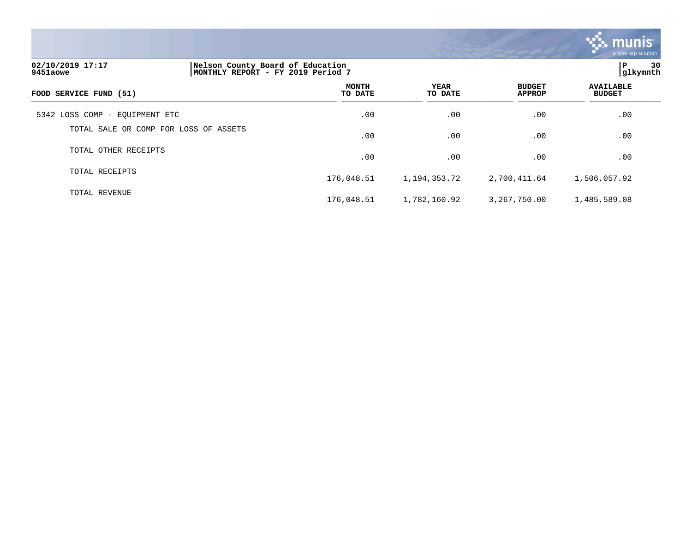

| 02/10/2019 17:17<br>9451aowe   |                                       | Nelson County Board of Education<br>MONTHLY REPORT - FY 2019 Period 7 |                 |                                |                                   |  |
|--------------------------------|---------------------------------------|-----------------------------------------------------------------------|-----------------|--------------------------------|-----------------------------------|--|
| FOOD SERVICE FUND (51)         |                                       | <b>MONTH</b><br>TO DATE                                               | YEAR<br>TO DATE | <b>BUDGET</b><br><b>APPROP</b> | <b>AVAILABLE</b><br><b>BUDGET</b> |  |
| 5342 LOSS COMP - EQUIPMENT ETC |                                       | .00                                                                   | .00             | .00                            | .00                               |  |
|                                | TOTAL SALE OR COMP FOR LOSS OF ASSETS | .00                                                                   | .00             | .00                            | .00                               |  |
| TOTAL OTHER RECEIPTS           |                                       | .00                                                                   | .00             | .00                            | .00                               |  |
| TOTAL RECEIPTS                 |                                       | 176,048.51                                                            | 1,194,353.72    | 2,700,411.64                   | 1,506,057.92                      |  |
| TOTAL REVENUE                  |                                       | 176,048.51                                                            | 1,782,160.92    | 3,267,750.00                   | 1,485,589.08                      |  |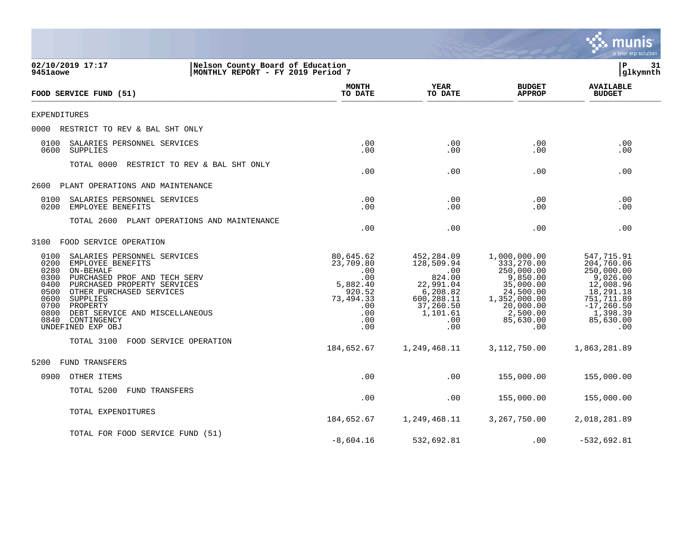|                                                                                                                                                                                                                                                                                                                                        |                                                                       |                                                                                                     |                                                                                                                         |                                                                                                                                             | a tyler erp solution                                                                                                                        |
|----------------------------------------------------------------------------------------------------------------------------------------------------------------------------------------------------------------------------------------------------------------------------------------------------------------------------------------|-----------------------------------------------------------------------|-----------------------------------------------------------------------------------------------------|-------------------------------------------------------------------------------------------------------------------------|---------------------------------------------------------------------------------------------------------------------------------------------|---------------------------------------------------------------------------------------------------------------------------------------------|
| 02/10/2019 17:17<br>9451aowe                                                                                                                                                                                                                                                                                                           | Nelson County Board of Education<br>MONTHLY REPORT - FY 2019 Period 7 |                                                                                                     |                                                                                                                         |                                                                                                                                             | ΙP<br>31<br>glkymnth                                                                                                                        |
| FOOD SERVICE FUND (51)                                                                                                                                                                                                                                                                                                                 |                                                                       | <b>MONTH</b><br>TO DATE                                                                             | <b>YEAR</b><br>TO DATE                                                                                                  | <b>BUDGET</b><br><b>APPROP</b>                                                                                                              | <b>AVAILABLE</b><br><b>BUDGET</b>                                                                                                           |
| EXPENDITURES                                                                                                                                                                                                                                                                                                                           |                                                                       |                                                                                                     |                                                                                                                         |                                                                                                                                             |                                                                                                                                             |
| 0000<br>RESTRICT TO REV & BAL SHT ONLY                                                                                                                                                                                                                                                                                                 |                                                                       |                                                                                                     |                                                                                                                         |                                                                                                                                             |                                                                                                                                             |
| 0100<br>SALARIES PERSONNEL SERVICES<br>0600<br>SUPPLIES                                                                                                                                                                                                                                                                                |                                                                       | .00<br>.00                                                                                          | .00<br>.00                                                                                                              | .00<br>.00                                                                                                                                  | .00<br>.00                                                                                                                                  |
| TOTAL 0000                                                                                                                                                                                                                                                                                                                             | RESTRICT TO REV & BAL SHT ONLY                                        | .00                                                                                                 | .00                                                                                                                     | .00                                                                                                                                         | .00                                                                                                                                         |
| PLANT OPERATIONS AND MAINTENANCE<br>2600                                                                                                                                                                                                                                                                                               |                                                                       |                                                                                                     |                                                                                                                         |                                                                                                                                             |                                                                                                                                             |
| 0100<br>SALARIES PERSONNEL SERVICES<br>0200<br>EMPLOYEE BENEFITS                                                                                                                                                                                                                                                                       |                                                                       | .00<br>.00                                                                                          | .00<br>.00                                                                                                              | .00<br>.00                                                                                                                                  | .00<br>.00                                                                                                                                  |
| TOTAL 2600                                                                                                                                                                                                                                                                                                                             | PLANT OPERATIONS AND MAINTENANCE                                      | .00                                                                                                 | .00                                                                                                                     | .00                                                                                                                                         | .00                                                                                                                                         |
| 3100<br>FOOD SERVICE OPERATION                                                                                                                                                                                                                                                                                                         |                                                                       |                                                                                                     |                                                                                                                         |                                                                                                                                             |                                                                                                                                             |
| 0100<br>SALARIES PERSONNEL SERVICES<br>0200<br>EMPLOYEE BENEFITS<br>0280<br>ON-BEHALF<br>0300<br>PURCHASED PROF AND TECH SERV<br>0400<br>PURCHASED PROPERTY SERVICES<br>0500<br>OTHER PURCHASED SERVICES<br>0600<br>SUPPLIES<br>0700<br>PROPERTY<br>0800<br>DEBT SERVICE AND MISCELLANEOUS<br>0840<br>CONTINGENCY<br>UNDEFINED EXP OBJ |                                                                       | 80,645.62<br>23,709.80<br>.00<br>.00<br>5,882.40<br>920.52<br>73,494.33<br>.00<br>.00<br>.00<br>.00 | 452,284.09<br>128,509.94<br>.00<br>824.00<br>22,991.04<br>6,208.82<br>600,288.11<br>37,260.50<br>1,101.61<br>.00<br>.00 | 1,000,000.00<br>333,270.00<br>250,000.00<br>9,850.00<br>35,000.00<br>24,500.00<br>1,352,000.00<br>20,000.00<br>2,500.00<br>85,630.00<br>.00 | 547,715.91<br>204,760.06<br>250,000.00<br>9,026.00<br>12,008.96<br>18,291.18<br>751,711.89<br>$-17, 260.50$<br>1,398.39<br>85,630.00<br>.00 |
| TOTAL 3100                                                                                                                                                                                                                                                                                                                             | FOOD SERVICE OPERATION                                                | 184,652.67                                                                                          | 1,249,468.11                                                                                                            | 3, 112, 750.00                                                                                                                              | 1,863,281.89                                                                                                                                |
| FUND TRANSFERS<br>5200                                                                                                                                                                                                                                                                                                                 |                                                                       |                                                                                                     |                                                                                                                         |                                                                                                                                             |                                                                                                                                             |
| 0900<br>OTHER ITEMS                                                                                                                                                                                                                                                                                                                    |                                                                       | .00                                                                                                 | .00                                                                                                                     | 155,000.00                                                                                                                                  | 155,000.00                                                                                                                                  |
| TOTAL 5200<br><b>FUND TRANSFERS</b>                                                                                                                                                                                                                                                                                                    |                                                                       | .00                                                                                                 | .00                                                                                                                     | 155,000.00                                                                                                                                  | 155,000.00                                                                                                                                  |
| TOTAL EXPENDITURES                                                                                                                                                                                                                                                                                                                     |                                                                       | 184,652.67                                                                                          | 1,249,468.11                                                                                                            | 3,267,750.00                                                                                                                                | 2,018,281.89                                                                                                                                |
| TOTAL FOR FOOD SERVICE FUND (51)                                                                                                                                                                                                                                                                                                       |                                                                       | $-8,604.16$                                                                                         | 532,692.81                                                                                                              | .00                                                                                                                                         | $-532,692.81$                                                                                                                               |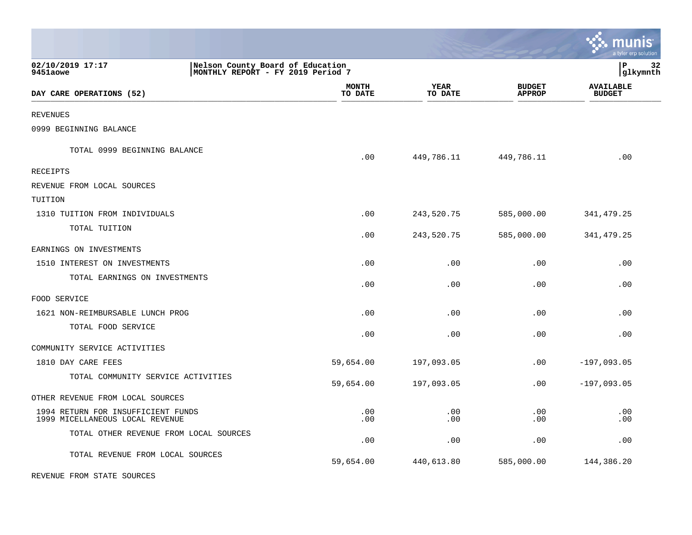|                                                                       |                                                                       |                         |                        |                                | nıs<br>mu<br>a tyler erp solution |
|-----------------------------------------------------------------------|-----------------------------------------------------------------------|-------------------------|------------------------|--------------------------------|-----------------------------------|
| 02/10/2019 17:17<br>9451aowe                                          | Nelson County Board of Education<br>MONTHLY REPORT - FY 2019 Period 7 |                         |                        |                                | P<br>32<br> glkymnth              |
| DAY CARE OPERATIONS (52)                                              |                                                                       | <b>MONTH</b><br>TO DATE | <b>YEAR</b><br>TO DATE | <b>BUDGET</b><br><b>APPROP</b> | <b>AVAILABLE</b><br><b>BUDGET</b> |
| REVENUES                                                              |                                                                       |                         |                        |                                |                                   |
| 0999 BEGINNING BALANCE                                                |                                                                       |                         |                        |                                |                                   |
| TOTAL 0999 BEGINNING BALANCE                                          |                                                                       | .00                     | 449,786.11             | 449,786.11                     | .00                               |
| RECEIPTS                                                              |                                                                       |                         |                        |                                |                                   |
| REVENUE FROM LOCAL SOURCES                                            |                                                                       |                         |                        |                                |                                   |
| TUITION                                                               |                                                                       |                         |                        |                                |                                   |
| 1310 TUITION FROM INDIVIDUALS                                         |                                                                       | .00                     | 243,520.75             | 585,000.00                     | 341, 479.25                       |
| TOTAL TUITION                                                         |                                                                       | .00                     | 243,520.75             | 585,000.00                     | 341, 479.25                       |
| EARNINGS ON INVESTMENTS                                               |                                                                       |                         |                        |                                |                                   |
| 1510 INTEREST ON INVESTMENTS                                          |                                                                       | .00                     | .00                    | .00                            | .00                               |
| TOTAL EARNINGS ON INVESTMENTS                                         |                                                                       | .00                     | .00                    | .00                            | .00                               |
| FOOD SERVICE                                                          |                                                                       |                         |                        |                                |                                   |
| 1621 NON-REIMBURSABLE LUNCH PROG                                      |                                                                       | .00                     | .00                    | .00                            | .00                               |
| TOTAL FOOD SERVICE                                                    |                                                                       | .00                     | .00                    | .00                            | .00                               |
| COMMUNITY SERVICE ACTIVITIES                                          |                                                                       |                         |                        |                                |                                   |
| 1810 DAY CARE FEES                                                    |                                                                       | 59,654.00               | 197,093.05             | .00                            | $-197,093.05$                     |
| TOTAL COMMUNITY SERVICE ACTIVITIES                                    |                                                                       | 59,654.00               | 197,093.05             | .00                            | $-197,093.05$                     |
| OTHER REVENUE FROM LOCAL SOURCES                                      |                                                                       |                         |                        |                                |                                   |
| 1994 RETURN FOR INSUFFICIENT FUNDS<br>1999 MICELLANEOUS LOCAL REVENUE |                                                                       | .00<br>.00              | .00<br>.00             | .00<br>.00                     | .00<br>.00                        |
| TOTAL OTHER REVENUE FROM LOCAL SOURCES                                |                                                                       | .00                     | .00                    | .00                            | .00                               |
| TOTAL REVENUE FROM LOCAL SOURCES                                      |                                                                       | 59,654.00               | 440,613.80             | 585,000.00                     | 144,386.20                        |

 $\bullet$ 

REVENUE FROM STATE SOURCES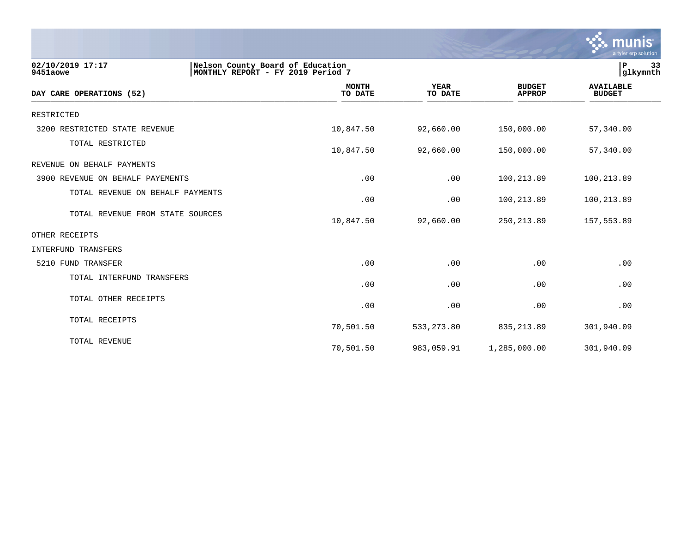

| 02/10/2019 17:17<br>9451aowe     | Nelson County Board of Education<br>MONTHLY REPORT - FY 2019 Period 7 |                        |                                | 33<br>P<br>glkymnth               |
|----------------------------------|-----------------------------------------------------------------------|------------------------|--------------------------------|-----------------------------------|
| DAY CARE OPERATIONS (52)         | <b>MONTH</b><br>TO DATE                                               | <b>YEAR</b><br>TO DATE | <b>BUDGET</b><br><b>APPROP</b> | <b>AVAILABLE</b><br><b>BUDGET</b> |
| RESTRICTED                       |                                                                       |                        |                                |                                   |
| 3200 RESTRICTED STATE REVENUE    | 10,847.50                                                             | 92,660.00              | 150,000.00                     | 57,340.00                         |
| TOTAL RESTRICTED                 | 10,847.50                                                             | 92,660.00              | 150,000.00                     | 57,340.00                         |
| REVENUE ON BEHALF PAYMENTS       |                                                                       |                        |                                |                                   |
| 3900 REVENUE ON BEHALF PAYEMENTS | .00                                                                   | .00                    | 100,213.89                     | 100,213.89                        |
| TOTAL REVENUE ON BEHALF PAYMENTS | .00                                                                   | .00                    | 100,213.89                     | 100,213.89                        |
| TOTAL REVENUE FROM STATE SOURCES | 10,847.50                                                             | 92,660.00              | 250, 213.89                    | 157,553.89                        |
| OTHER RECEIPTS                   |                                                                       |                        |                                |                                   |
| INTERFUND TRANSFERS              |                                                                       |                        |                                |                                   |
| 5210 FUND TRANSFER               | .00                                                                   | .00                    | .00                            | .00                               |
| TOTAL INTERFUND TRANSFERS        | .00                                                                   | .00                    | .00                            | .00                               |
| TOTAL OTHER RECEIPTS             | .00                                                                   | .00                    | .00                            | .00                               |
| TOTAL RECEIPTS                   | 70,501.50                                                             | 533, 273.80            | 835, 213.89                    | 301,940.09                        |
| TOTAL REVENUE                    | 70,501.50                                                             | 983,059.91             | 1,285,000.00                   | 301,940.09                        |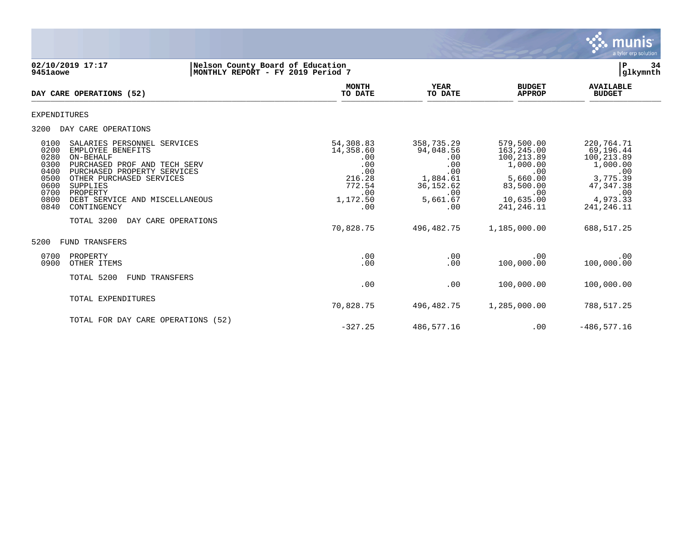

### **02/10/2019 17:17 |Nelson County Board of Education |P 34 9451aowe |MONTHLY REPORT - FY 2019 Period 7 |glkymnth**

| DAY CARE OPERATIONS (52)                                                                                                                                                                                                                                                                                                                                      | <b>MONTH</b><br>TO DATE                                                                   | <b>YEAR</b><br>TO DATE                                                                           | <b>BUDGET</b><br><b>APPROP</b>                                                                                          | <b>AVAILABLE</b><br><b>BUDGET</b>                                                                                      |
|---------------------------------------------------------------------------------------------------------------------------------------------------------------------------------------------------------------------------------------------------------------------------------------------------------------------------------------------------------------|-------------------------------------------------------------------------------------------|--------------------------------------------------------------------------------------------------|-------------------------------------------------------------------------------------------------------------------------|------------------------------------------------------------------------------------------------------------------------|
| <b>EXPENDITURES</b>                                                                                                                                                                                                                                                                                                                                           |                                                                                           |                                                                                                  |                                                                                                                         |                                                                                                                        |
| 3200<br>DAY CARE OPERATIONS                                                                                                                                                                                                                                                                                                                                   |                                                                                           |                                                                                                  |                                                                                                                         |                                                                                                                        |
| 0100<br>SALARIES PERSONNEL SERVICES<br>0200<br>EMPLOYEE BENEFITS<br>0280<br>ON-BEHALF<br>0300<br>PURCHASED PROF AND TECH SERV<br>0400<br>PURCHASED PROPERTY SERVICES<br>0500<br>OTHER PURCHASED SERVICES<br>0600<br><b>SUPPLIES</b><br>0700<br>PROPERTY<br>0800<br>DEBT SERVICE AND MISCELLANEOUS<br>0840<br>CONTINGENCY<br>TOTAL 3200<br>DAY CARE OPERATIONS | 54,308.83<br>14,358.60<br>.00<br>.00<br>.00<br>216.28<br>772.54<br>.00<br>1,172.50<br>.00 | 358,735.29<br>94,048.56<br>.00<br>.00<br>.00<br>1,884.61<br>36, 152.62<br>.00<br>5,661.67<br>.00 | 579,500.00<br>163, 245.00<br>100,213.89<br>1,000.00<br>.00<br>5,660.00<br>83,500.00<br>.00<br>10,635.00<br>241, 246. 11 | 220,764.71<br>69,196.44<br>100,213.89<br>1,000.00<br>.00<br>3,775.39<br>47, 347. 38<br>.00<br>4,973.33<br>241, 246. 11 |
| 5200<br><b>FUND TRANSFERS</b>                                                                                                                                                                                                                                                                                                                                 | 70,828.75                                                                                 | 496,482.75                                                                                       | 1,185,000.00                                                                                                            | 688,517.25                                                                                                             |
| 0700<br>PROPERTY<br>0900<br>OTHER ITEMS                                                                                                                                                                                                                                                                                                                       | .00<br>.00                                                                                | .00<br>.00                                                                                       | .00<br>100,000.00                                                                                                       | .00<br>100,000.00                                                                                                      |
| TOTAL 5200<br><b>FUND TRANSFERS</b>                                                                                                                                                                                                                                                                                                                           | .00                                                                                       | .00                                                                                              | 100,000.00                                                                                                              | 100,000.00                                                                                                             |
| TOTAL EXPENDITURES                                                                                                                                                                                                                                                                                                                                            | 70,828.75                                                                                 | 496,482.75                                                                                       | 1,285,000.00                                                                                                            | 788,517.25                                                                                                             |
| TOTAL FOR DAY CARE OPERATIONS (52)                                                                                                                                                                                                                                                                                                                            | $-327.25$                                                                                 | 486,577.16                                                                                       | .00                                                                                                                     | $-486, 577.16$                                                                                                         |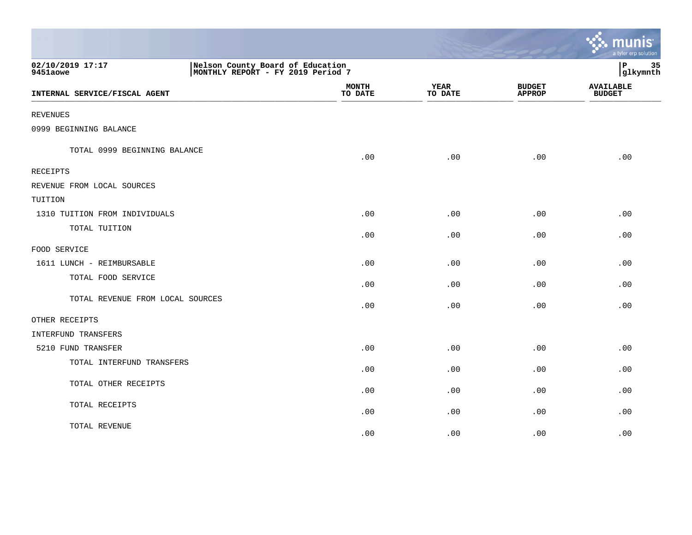|                                  |                                                                       |                         |                        |                                | munis<br>a tyler erp solution     |
|----------------------------------|-----------------------------------------------------------------------|-------------------------|------------------------|--------------------------------|-----------------------------------|
| 02/10/2019 17:17<br>9451aowe     | Nelson County Board of Education<br>MONTHLY REPORT - FY 2019 Period 7 | ∣P<br>35<br>glkymnth    |                        |                                |                                   |
| INTERNAL SERVICE/FISCAL AGENT    |                                                                       | <b>MONTH</b><br>TO DATE | <b>YEAR</b><br>TO DATE | <b>BUDGET</b><br><b>APPROP</b> | <b>AVAILABLE</b><br><b>BUDGET</b> |
| <b>REVENUES</b>                  |                                                                       |                         |                        |                                |                                   |
| 0999 BEGINNING BALANCE           |                                                                       |                         |                        |                                |                                   |
| TOTAL 0999 BEGINNING BALANCE     |                                                                       | .00                     | .00                    | .00                            | .00                               |
| RECEIPTS                         |                                                                       |                         |                        |                                |                                   |
| REVENUE FROM LOCAL SOURCES       |                                                                       |                         |                        |                                |                                   |
| TUITION                          |                                                                       |                         |                        |                                |                                   |
| 1310 TUITION FROM INDIVIDUALS    |                                                                       | .00                     | .00                    | .00                            | .00                               |
| TOTAL TUITION                    |                                                                       | .00                     | .00                    | .00                            | .00                               |
| FOOD SERVICE                     |                                                                       |                         |                        |                                |                                   |
| 1611 LUNCH - REIMBURSABLE        |                                                                       | .00                     | .00                    | .00                            | .00                               |
| TOTAL FOOD SERVICE               |                                                                       | .00                     | .00                    | .00                            | .00                               |
| TOTAL REVENUE FROM LOCAL SOURCES |                                                                       | .00                     | .00                    | .00                            | .00                               |
| OTHER RECEIPTS                   |                                                                       |                         |                        |                                |                                   |
| INTERFUND TRANSFERS              |                                                                       |                         |                        |                                |                                   |
| 5210 FUND TRANSFER               |                                                                       | .00                     | .00                    | .00                            | .00                               |
| TOTAL INTERFUND TRANSFERS        |                                                                       | .00                     | .00                    | .00                            | .00                               |
| TOTAL OTHER RECEIPTS             |                                                                       | .00                     | .00                    | .00                            | .00                               |
| TOTAL RECEIPTS                   |                                                                       | .00                     | .00                    | .00                            | .00                               |
| TOTAL REVENUE                    |                                                                       | .00                     | .00                    | .00                            | .00                               |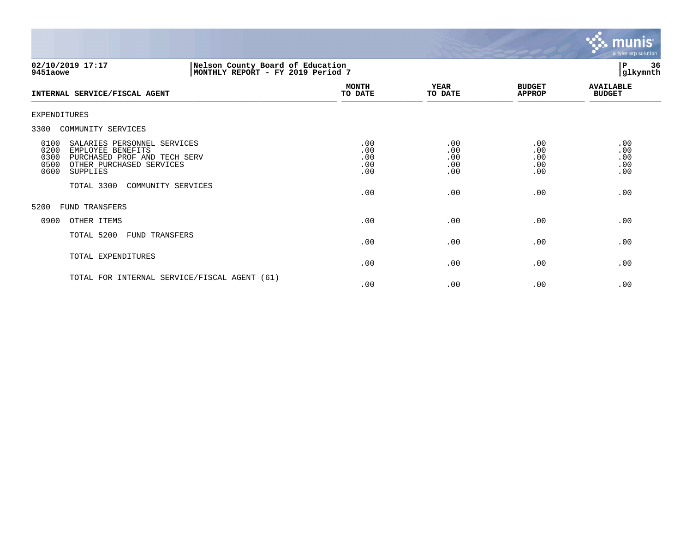

## **02/10/2019 17:17 |Nelson County Board of Education |P 36 9451aowe |MONTHLY REPORT - FY 2019 Period 7 |glkymnth**

| INTERNAL SERVICE/FISCAL AGENT                                                                                                                                    | <b>MONTH</b><br>TO DATE         | <b>YEAR</b><br>TO DATE          | <b>BUDGET</b><br><b>APPROP</b>  | <b>AVAILABLE</b><br><b>BUDGET</b> |
|------------------------------------------------------------------------------------------------------------------------------------------------------------------|---------------------------------|---------------------------------|---------------------------------|-----------------------------------|
| EXPENDITURES                                                                                                                                                     |                                 |                                 |                                 |                                   |
| COMMUNITY SERVICES<br>3300                                                                                                                                       |                                 |                                 |                                 |                                   |
| 0100<br>SALARIES PERSONNEL SERVICES<br>0200<br>EMPLOYEE BENEFITS<br>0300<br>PURCHASED PROF AND TECH SERV<br>0500<br>OTHER PURCHASED SERVICES<br>0600<br>SUPPLIES | .00<br>.00<br>.00<br>.00<br>.00 | .00<br>.00<br>.00<br>.00<br>.00 | .00<br>.00<br>.00<br>.00<br>.00 | .00<br>.00<br>.00<br>.00<br>.00   |
| TOTAL 3300<br>COMMUNITY SERVICES                                                                                                                                 | .00                             | .00                             | .00                             | .00                               |
| 5200<br>FUND TRANSFERS                                                                                                                                           |                                 |                                 |                                 |                                   |
| 0900<br>OTHER ITEMS                                                                                                                                              | .00                             | .00                             | .00                             | .00                               |
| TOTAL 5200<br>FUND TRANSFERS                                                                                                                                     | .00                             | .00                             | .00                             | .00                               |
| TOTAL EXPENDITURES                                                                                                                                               | .00                             | .00                             | .00                             | .00                               |
| TOTAL FOR INTERNAL SERVICE/FISCAL AGENT (61)                                                                                                                     | .00                             | .00                             | .00                             | .00                               |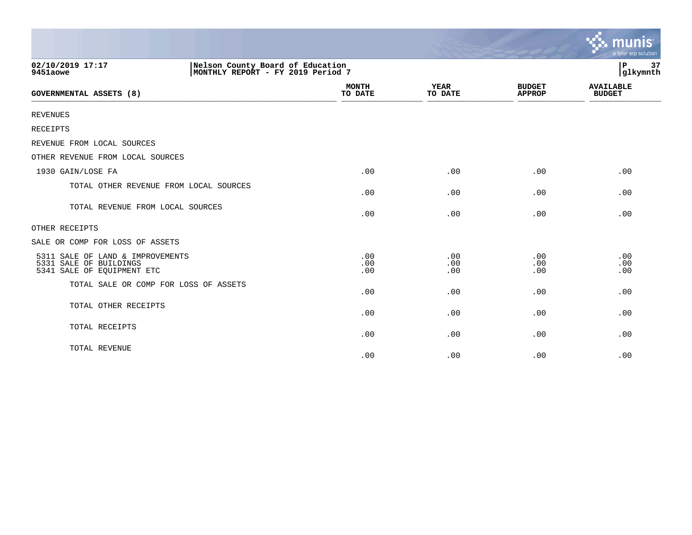|                                                                                          |                                                                       |                         |                        |                                | munis<br>a tyler erp solution     |
|------------------------------------------------------------------------------------------|-----------------------------------------------------------------------|-------------------------|------------------------|--------------------------------|-----------------------------------|
| 02/10/2019 17:17<br>9451aowe                                                             | Nelson County Board of Education<br>MONTHLY REPORT - FY 2019 Period 7 |                         |                        |                                | ∣₽<br>37<br>glkymnth              |
| <b>GOVERNMENTAL ASSETS (8)</b>                                                           |                                                                       | <b>MONTH</b><br>TO DATE | <b>YEAR</b><br>TO DATE | <b>BUDGET</b><br><b>APPROP</b> | <b>AVAILABLE</b><br><b>BUDGET</b> |
| <b>REVENUES</b>                                                                          |                                                                       |                         |                        |                                |                                   |
| RECEIPTS                                                                                 |                                                                       |                         |                        |                                |                                   |
| REVENUE FROM LOCAL SOURCES                                                               |                                                                       |                         |                        |                                |                                   |
| OTHER REVENUE FROM LOCAL SOURCES                                                         |                                                                       |                         |                        |                                |                                   |
| 1930 GAIN/LOSE FA                                                                        |                                                                       | .00                     | .00                    | .00                            | .00                               |
| TOTAL OTHER REVENUE FROM LOCAL SOURCES                                                   |                                                                       | .00                     | .00                    | .00                            | .00                               |
| TOTAL REVENUE FROM LOCAL SOURCES                                                         |                                                                       | .00                     | .00                    | .00                            | .00                               |
| OTHER RECEIPTS                                                                           |                                                                       |                         |                        |                                |                                   |
| SALE OR COMP FOR LOSS OF ASSETS                                                          |                                                                       |                         |                        |                                |                                   |
| 5311 SALE OF LAND & IMPROVEMENTS<br>5331 SALE OF BUILDINGS<br>5341 SALE OF EQUIPMENT ETC |                                                                       | .00<br>.00<br>.00       | .00<br>.00<br>.00      | .00<br>.00<br>.00              | .00<br>.00<br>.00                 |
| TOTAL SALE OR COMP FOR LOSS OF ASSETS                                                    |                                                                       | .00                     | .00                    | .00                            | .00                               |
| TOTAL OTHER RECEIPTS                                                                     |                                                                       | .00                     | .00                    | .00                            | .00                               |
| TOTAL RECEIPTS                                                                           |                                                                       | .00                     | .00                    | .00                            | .00                               |
| TOTAL REVENUE                                                                            |                                                                       | .00                     | .00                    | .00                            | .00                               |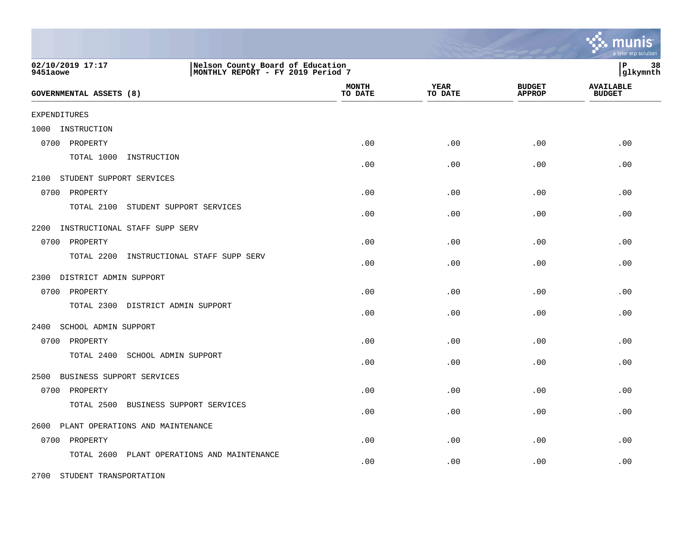|                                             |                                                                       |                         |                 |                                | a tyler erp solution              |
|---------------------------------------------|-----------------------------------------------------------------------|-------------------------|-----------------|--------------------------------|-----------------------------------|
| 02/10/2019 17:17<br>9451aowe                | Nelson County Board of Education<br>MONTHLY REPORT - FY 2019 Period 7 |                         |                 |                                | l P<br>38<br> glkymnth            |
| <b>GOVERNMENTAL ASSETS (8)</b>              |                                                                       | <b>MONTH</b><br>TO DATE | YEAR<br>TO DATE | <b>BUDGET</b><br><b>APPROP</b> | <b>AVAILABLE</b><br><b>BUDGET</b> |
| <b>EXPENDITURES</b>                         |                                                                       |                         |                 |                                |                                   |
| INSTRUCTION<br>1000                         |                                                                       |                         |                 |                                |                                   |
| 0700<br>PROPERTY                            |                                                                       | .00                     | .00             | .00                            | .00                               |
| TOTAL 1000<br>INSTRUCTION                   |                                                                       | .00                     | .00             | .00                            | .00                               |
| 2100<br>STUDENT SUPPORT SERVICES            |                                                                       |                         |                 |                                |                                   |
| 0700<br>PROPERTY                            |                                                                       | .00                     | .00             | .00                            | .00                               |
| TOTAL 2100<br>STUDENT SUPPORT SERVICES      |                                                                       | .00                     | .00             | .00                            | .00                               |
| 2200<br>INSTRUCTIONAL STAFF SUPP SERV       |                                                                       |                         |                 |                                |                                   |
| 0700<br>PROPERTY                            |                                                                       | .00                     | .00             | .00                            | .00                               |
| TOTAL 2200<br>INSTRUCTIONAL STAFF SUPP SERV |                                                                       | .00                     | .00             | .00                            | .00                               |
| 2300<br>DISTRICT ADMIN SUPPORT              |                                                                       |                         |                 |                                |                                   |
| 0700<br>PROPERTY                            |                                                                       | .00                     | .00             | .00                            | .00                               |
| TOTAL 2300 DISTRICT ADMIN SUPPORT           |                                                                       | .00                     | .00             | .00                            | .00                               |
| 2400<br>SCHOOL ADMIN SUPPORT                |                                                                       |                         |                 |                                |                                   |
| 0700 PROPERTY                               |                                                                       | .00                     | .00             | .00                            | .00                               |
| TOTAL 2400<br>SCHOOL ADMIN SUPPORT          |                                                                       | .00                     | .00             | .00                            | .00                               |
| 2500<br>BUSINESS SUPPORT SERVICES           |                                                                       |                         |                 |                                |                                   |
| 0700<br>PROPERTY                            |                                                                       | .00                     | .00             | .00                            | .00                               |
| TOTAL 2500<br>BUSINESS SUPPORT SERVICES     |                                                                       | .00                     | .00             | .00                            | .00                               |
| 2600<br>PLANT OPERATIONS AND MAINTENANCE    |                                                                       |                         |                 |                                |                                   |
| 0700<br>PROPERTY                            |                                                                       | .00                     | .00             | .00                            | .00                               |
| TOTAL 2600                                  | PLANT OPERATIONS AND MAINTENANCE                                      | .00                     | .00             | .00                            | .00                               |

2700 STUDENT TRANSPORTATION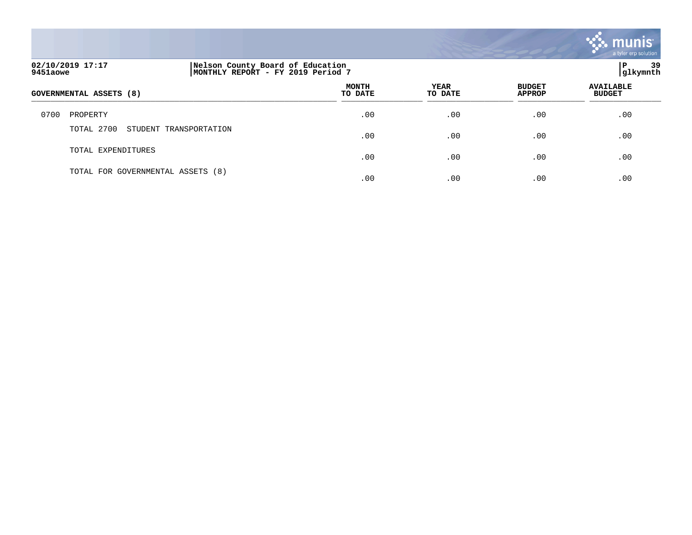

| 02/10/2019 17:17<br>Nelson County Board of Education<br>MONTHLY REPORT - FY 2019 Period 7<br>9451aowe |                                      |                         |                 |                                |                                   |
|-------------------------------------------------------------------------------------------------------|--------------------------------------|-------------------------|-----------------|--------------------------------|-----------------------------------|
|                                                                                                       | GOVERNMENTAL ASSETS (8)              | <b>MONTH</b><br>TO DATE | YEAR<br>TO DATE | <b>BUDGET</b><br><b>APPROP</b> | <b>AVAILABLE</b><br><b>BUDGET</b> |
| 0700                                                                                                  | PROPERTY                             | .00                     | .00             | .00                            | .00                               |
|                                                                                                       | TOTAL 2700<br>STUDENT TRANSPORTATION | .00                     | .00             | .00                            | .00                               |
|                                                                                                       | TOTAL EXPENDITURES                   | .00                     | .00             | .00                            | .00                               |
|                                                                                                       | TOTAL FOR GOVERNMENTAL ASSETS (8)    | .00                     | .00             | .00                            | .00                               |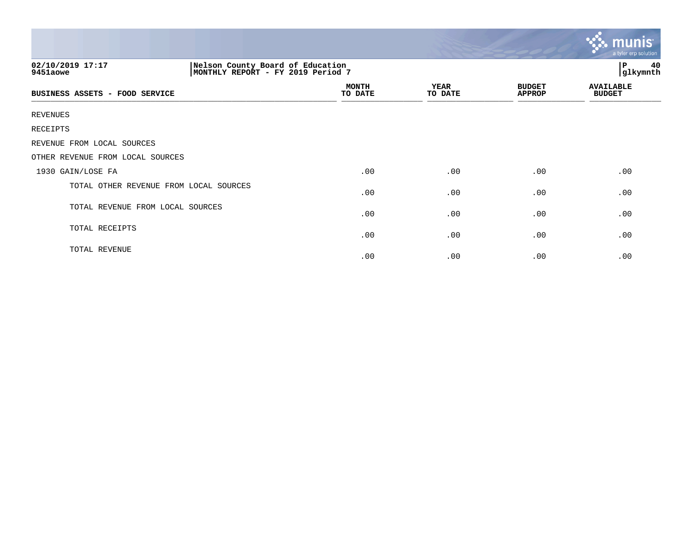|                                  |                                        |                                                                       |                        |                                | <u>ኛ፦ munis</u><br>a tyler erp solution |  |
|----------------------------------|----------------------------------------|-----------------------------------------------------------------------|------------------------|--------------------------------|-----------------------------------------|--|
| 02/10/2019 17:17<br>9451aowe     |                                        | Nelson County Board of Education<br>MONTHLY REPORT - FY 2019 Period 7 |                        |                                | 40<br>P<br>glkymnth                     |  |
| BUSINESS ASSETS - FOOD SERVICE   |                                        | <b>MONTH</b><br>TO DATE                                               | <b>YEAR</b><br>TO DATE | <b>BUDGET</b><br><b>APPROP</b> | <b>AVAILABLE</b><br><b>BUDGET</b>       |  |
| <b>REVENUES</b>                  |                                        |                                                                       |                        |                                |                                         |  |
| RECEIPTS                         |                                        |                                                                       |                        |                                |                                         |  |
| REVENUE FROM LOCAL SOURCES       |                                        |                                                                       |                        |                                |                                         |  |
| OTHER REVENUE FROM LOCAL SOURCES |                                        |                                                                       |                        |                                |                                         |  |
| 1930 GAIN/LOSE FA                |                                        | .00                                                                   | .00                    | .00                            | .00                                     |  |
|                                  | TOTAL OTHER REVENUE FROM LOCAL SOURCES | .00                                                                   | .00                    | .00                            | .00                                     |  |
| TOTAL REVENUE FROM LOCAL SOURCES |                                        | .00                                                                   | .00                    | .00                            | .00                                     |  |
| TOTAL RECEIPTS                   |                                        | .00                                                                   | .00                    | .00                            | .00                                     |  |
| TOTAL REVENUE                    |                                        | .00                                                                   | .00                    | .00                            | .00                                     |  |

and the contract of the contract of the contract of the contract of the contract of the contract of the contract of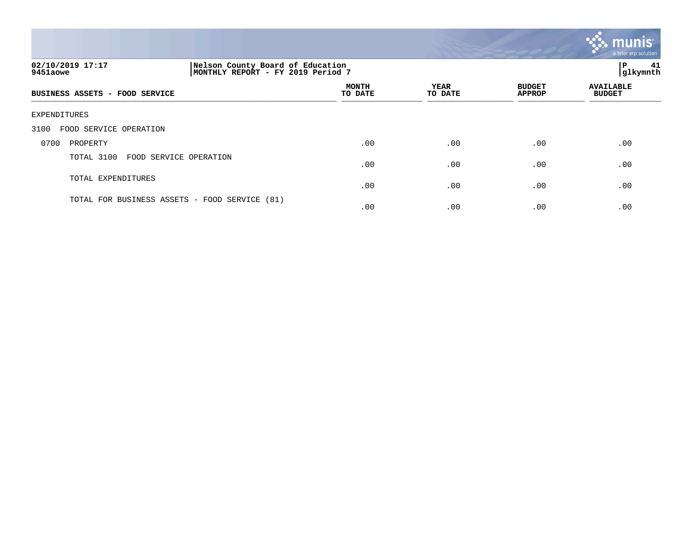

## **02/10/2019 17:17 |Nelson County Board of Education |P 41 9451aowe |MONTHLY REPORT - FY 2019 Period 7 |glkymnth**

| BUSINESS ASSETS - FOOD SERVICE                | <b>MONTH</b><br>TO DATE | YEAR<br>TO DATE | <b>BUDGET</b><br><b>APPROP</b> | <b>AVAILABLE</b><br><b>BUDGET</b> |
|-----------------------------------------------|-------------------------|-----------------|--------------------------------|-----------------------------------|
| EXPENDITURES                                  |                         |                 |                                |                                   |
| 3100<br>FOOD SERVICE OPERATION                |                         |                 |                                |                                   |
| PROPERTY<br>0700                              | .00                     | .00             | .00                            | .00                               |
| TOTAL 3100<br>FOOD SERVICE OPERATION          | .00                     | .00             | .00                            | .00                               |
| TOTAL EXPENDITURES                            | .00                     | .00             | .00                            | .00                               |
| TOTAL FOR BUSINESS ASSETS - FOOD SERVICE (81) | .00                     | .00             | .00                            | .00                               |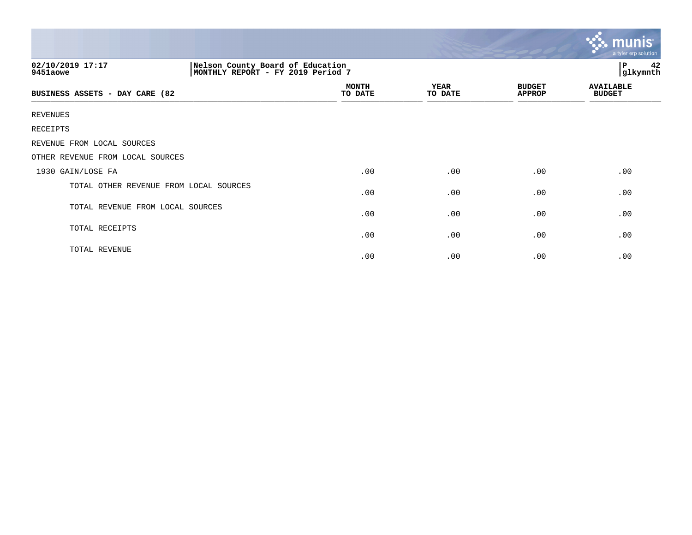|                                        |                                                                       |                         |                 |                                | $\mathbb{C}$ . munis<br>a tyler erp solution |  |
|----------------------------------------|-----------------------------------------------------------------------|-------------------------|-----------------|--------------------------------|----------------------------------------------|--|
| 02/10/2019 17:17<br>9451aowe           | Nelson County Board of Education<br>MONTHLY REPORT - FY 2019 Period 7 |                         |                 |                                | 42<br>$\, {\bf P}$<br>glkymnth               |  |
| BUSINESS ASSETS - DAY CARE (82         |                                                                       | <b>MONTH</b><br>TO DATE | YEAR<br>TO DATE | <b>BUDGET</b><br><b>APPROP</b> | <b>AVAILABLE</b><br><b>BUDGET</b>            |  |
| <b>REVENUES</b>                        |                                                                       |                         |                 |                                |                                              |  |
| RECEIPTS                               |                                                                       |                         |                 |                                |                                              |  |
| REVENUE FROM LOCAL SOURCES             |                                                                       |                         |                 |                                |                                              |  |
| OTHER REVENUE FROM LOCAL SOURCES       |                                                                       |                         |                 |                                |                                              |  |
| 1930 GAIN/LOSE FA                      |                                                                       | .00                     | .00             | .00                            | .00                                          |  |
| TOTAL OTHER REVENUE FROM LOCAL SOURCES |                                                                       | .00                     | .00             | .00                            | .00                                          |  |
| TOTAL REVENUE FROM LOCAL SOURCES       |                                                                       | .00                     | .00             | .00                            | .00                                          |  |
| TOTAL RECEIPTS                         |                                                                       | .00                     | .00             | .00                            | .00                                          |  |
| TOTAL REVENUE                          |                                                                       | .00                     | .00             | .00                            | .00                                          |  |

and the contract of the contract of the contract of the contract of the contract of the contract of the contract of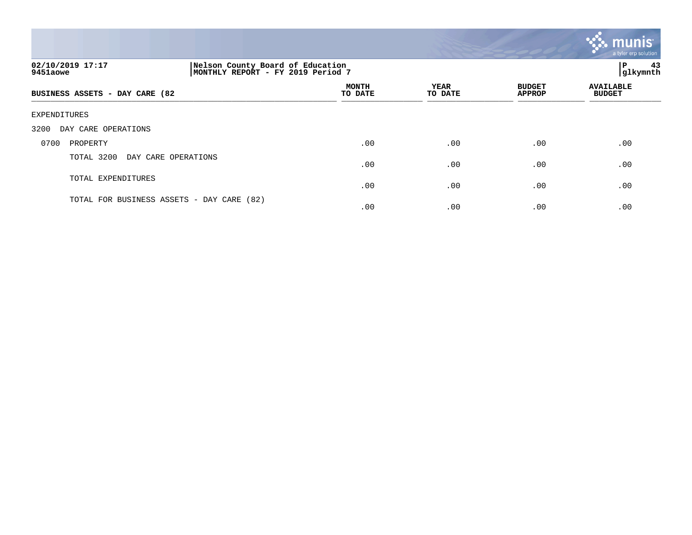

# **02/10/2019 17:17 |Nelson County Board of Education |P 43 9451aowe |MONTHLY REPORT - FY 2019 Period 7 |glkymnth MONTH AVAILABLE YEAR BUDGET** AVAILABLE **BUSINESS ASSETS - DAY CARE (82 TO DATE TO DATE APPROP BUDGET**   $\overline{\text{Solving the number of vertices labeled as a given number of vertices labeled as a given number of vertices labeled as a given number of vertices labeled as a given number of vertices labeled as a given number of vertices labeled as a given number of vertices labeled as a given number of vertices labeled as a given number of vertices labeled as a given number of vertices labeled as a given number of vertices labeled as a given number of vertices labeled as a given number of vertices labeled as a given number of vertices labeled as a given number of vertices labeled as a given number of vertices labeled as a given number of vertices labeled as a given number of vertices labeled as a given number of vertices labeled as a given number of vertices labeled as a given number of vertices labeled as a given number of vertices labeled as a given number of vertices labeled as a given number of vertices labeled as a given number of vertices labeled as a given number of vertices labeled as a given number of vertices labeled as a given number of vertices labeled as a given number of vertices labeled as a given number of vertices labeled as a given number$ EXPENDITURES 3200 DAY CARE OPERATIONS 0700 PROPERTY .00 .00 .00 .00 TOTAL 3200 DAY CARE OPERATIONS  $.00$  .  $.00$  .  $.00$  .  $.00$  .  $.00$  .  $.00$ TOTAL EXPENDITURES  $.00$  .  $.00$  .  $.00$  .  $.00$  .  $.00$  .  $.00$ TOTAL FOR BUSINESS ASSETS - DAY CARE (82)

 $.00$  .  $.00$  .  $.00$  .  $.00$  .  $.00$  .  $.00$